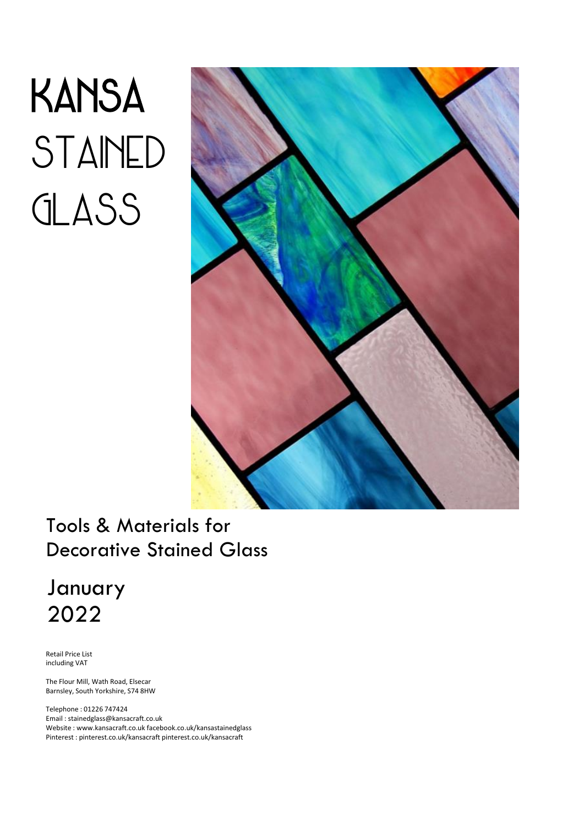# **KANSA** STAINED GLASS



# Tools & Materials for Decorative Stained Glass

# January 2022

Retail Price List including VAT

The Flour Mill, Wath Road, Elsecar Barnsley, South Yorkshire, S74 8HW

Telephone : 01226 747424 Email : stainedglass@kansacraft.co.uk Website : www.kansacraft.co.uk facebook.co.uk/kansastainedglass Pinterest : pinterest.co.uk/kansacraft pinterest.co.uk/kansacraft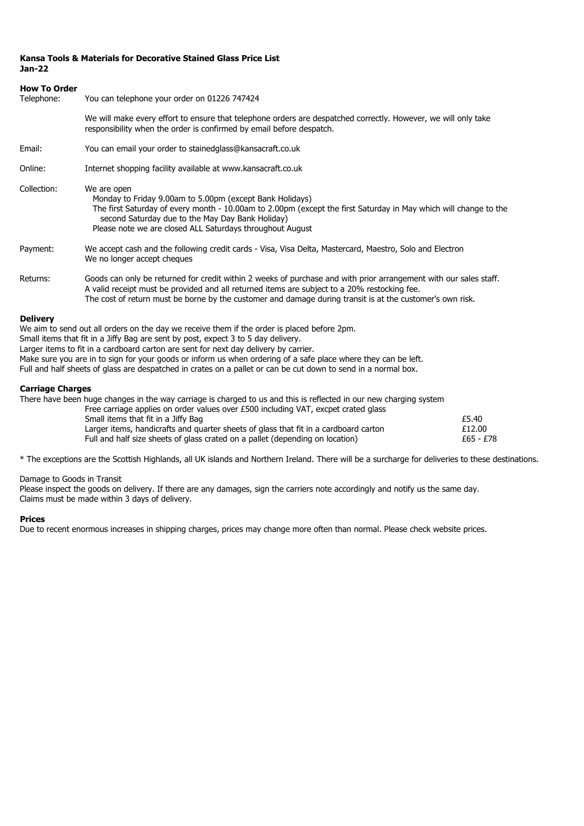#### **Kansa Tools & Materials for Decorative Stained Glass Price List Jan-22**

## **How To Order** Telephone: You can telephone your order on 01226 747424 We will make every effort to ensure that telephone orders are despatched correctly. However, we will only take responsibility when the order is confirmed by email before despatch. Email: You can email your order to stainedglass@kansacraft.co.uk Online: Internet shopping facility available at www.kansacraft.co.uk Collection: We are open Monday to Friday 9.00am to 5.00pm (except Bank Holidays) The first Saturday of every month - 10.00am to 2.00pm (except the first Saturday in May which will change to the second Saturday due to the May Day Bank Holiday) Please note we are closed ALL Saturdays throughout August Payment: We accept cash and the following credit cards - Visa, Visa Delta, Mastercard, Maestro, Solo and Electron We no longer accept cheques Returns: Goods can only be returned for credit within 2 weeks of purchase and with prior arrangement with our sales staff. A valid receipt must be provided and all returned items are subject to a 20% restocking fee. The cost of return must be borne by the customer and damage during transit is at the customer's own risk.

#### **Delivery**

We aim to send out all orders on the day we receive them if the order is placed before 2pm. Small items that fit in a Jiffy Bag are sent by post, expect 3 to 5 day delivery. Larger items to fit in a cardboard carton are sent for next day delivery by carrier. Make sure you are in to sign for your goods or inform us when ordering of a safe place where they can be left. Full and half sheets of glass are despatched in crates on a pallet or can be cut down to send in a normal box.

#### **Carriage Charges**

There have been huge changes in the way carriage is charged to us and this is reflected in our new charging system

| Free carriage applies on order values over £500 including VAT, excpet crated glass   |           |
|--------------------------------------------------------------------------------------|-----------|
| Small items that fit in a Jiffy Bag                                                  | £5.40     |
| Larger items, handicrafts and quarter sheets of glass that fit in a cardboard carton | £12.00    |
| Full and half size sheets of glass crated on a pallet (depending on location)        | £65 - £78 |

\* The exceptions are the Scottish Highlands, all UK islands and Northern Ireland. There will be a surcharge for deliveries to these destinations.

Damage to Goods in Transit

Please inspect the goods on delivery. If there are any damages, sign the carriers note accordingly and notify us the same day. Claims must be made within 3 days of delivery.

#### **Prices**

Due to recent enormous increases in shipping charges, prices may change more often than normal. Please check website prices.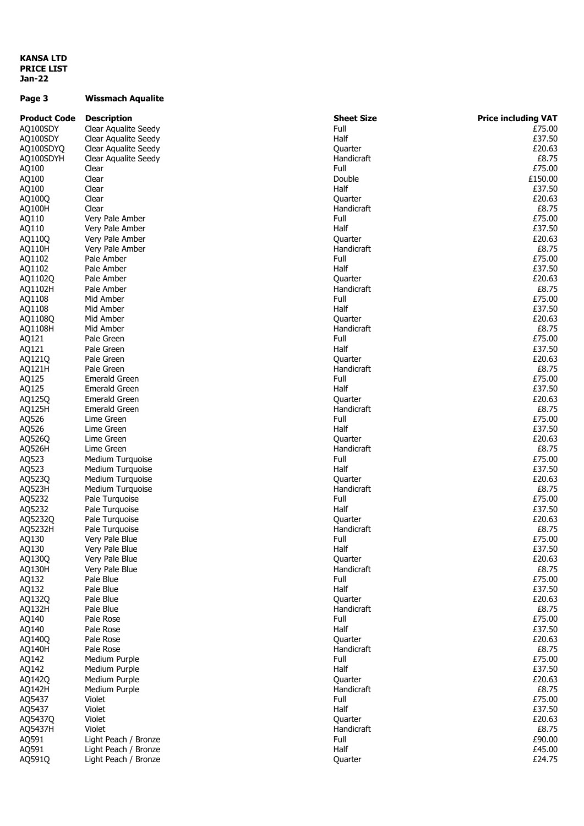#### **KANSA LTD PRICE LIST Jan-22**

## **Page 3 Wissmach Aqualite**

| <b>Product Code</b> | <b>Description</b>   | <b>Sheet Size</b>     | <b>Price including VAT</b> |
|---------------------|----------------------|-----------------------|----------------------------|
| AQ100SDY            | Clear Aqualite Seedy | Full                  | £75.00                     |
| AQ100SDY            | Clear Aqualite Seedy | Half                  | £37.50                     |
| AQ100SDYQ           | Clear Aqualite Seedy | Quarter               | £20.63                     |
| AQ100SDYH           | Clear Aqualite Seedy | Handicraft            | £8.75                      |
| AQ100               | Clear                | Full                  | £75.00                     |
| AQ100               | Clear                | Double                | £150.00                    |
| AQ100               | Clear                | Half                  | £37.50                     |
| AQ100Q              | Clear                | Quarter               | £20.63                     |
| AQ100H              | Clear                | Handicraft            | £8.75                      |
| AQ110               | Very Pale Amber      | Full                  | £75.00                     |
| AQ110               | Very Pale Amber      | Half                  | £37.50                     |
| AQ110Q              | Very Pale Amber      | Quarter               | £20.63                     |
| AQ110H              | Very Pale Amber      | Handicraft            | £8.75                      |
| AQ1102              | Pale Amber           | Full                  | £75.00                     |
| AQ1102              | Pale Amber           | Half                  | £37.50                     |
|                     |                      |                       | £20.63                     |
| AQ1102Q             | Pale Amber           | Quarter<br>Handicraft | £8.75                      |
| AQ1102H             | Pale Amber           |                       |                            |
| AQ1108              | Mid Amber            | Full                  | £75.00                     |
| AQ1108              | Mid Amber            | Half                  | £37.50                     |
| AQ1108Q             | Mid Amber            | Quarter               | £20.63                     |
| AQ1108H             | Mid Amber            | Handicraft            | £8.75                      |
| AQ121               | Pale Green           | Full                  | £75.00                     |
| AQ121               | Pale Green           | Half                  | £37.50                     |
| AQ121Q              | Pale Green           | Quarter               | £20.63                     |
| AQ121H              | Pale Green           | Handicraft            | £8.75                      |
| AQ125               | <b>Emerald Green</b> | Full                  | £75.00                     |
| AQ125               | <b>Emerald Green</b> | Half                  | £37.50                     |
| AQ125Q              | <b>Emerald Green</b> | Quarter               | £20.63                     |
| AQ125H              | <b>Emerald Green</b> | Handicraft            | £8.75                      |
| AQ526               | Lime Green           | Full                  | £75.00                     |
| AQ526               | Lime Green           | Half                  | £37.50                     |
| AQ526Q              | Lime Green           | Quarter               | £20.63                     |
| AQ526H              | Lime Green           | Handicraft            | £8.75                      |
| AQ523               | Medium Turquoise     | Full                  | £75.00                     |
| AQ523               | Medium Turquoise     | Half                  | £37.50                     |
| AQ523Q              | Medium Turquoise     | Quarter               | £20.63                     |
| AQ523H              | Medium Turquoise     | Handicraft            | £8.75                      |
| AQ5232              | Pale Turquoise       | Full                  | £75.00                     |
| AQ5232              | Pale Turquoise       | Half                  | £37.50                     |
| AQ5232Q             | Pale Turquoise       | Quarter               | £20.63                     |
| AQ5232H             | Pale Turquoise       | Handicraft            | £8.75                      |
| AQ130               | Very Pale Blue       | Full                  | £75.00                     |
| AQ130               | Very Pale Blue       | Half                  | £37.50                     |
| AQ130Q              | Very Pale Blue       | Quarter               | £20.63                     |
| AQ130H              | Very Pale Blue       | Handicraft            | £8.75                      |
| AQ132               | Pale Blue            | Full                  | £75.00                     |
| AQ132               | Pale Blue            | Half                  | £37.50                     |
| AQ132Q              | Pale Blue            | <b>Quarter</b>        | £20.63                     |
| AQ132H              | Pale Blue            | Handicraft            | £8.75                      |
| AQ140               | Pale Rose            | Full                  | £75.00                     |
| AQ140               | Pale Rose            | Half                  | £37.50                     |
|                     | Pale Rose            |                       | £20.63                     |
| AQ140Q              |                      | Quarter               |                            |
| AQ140H              | Pale Rose            | Handicraft            | £8.75                      |
| AQ142               | Medium Purple        | Full                  | £75.00                     |
| AQ142               | Medium Purple        | Half                  | £37.50                     |
| AQ142Q              | Medium Purple        | Quarter               | £20.63                     |
| AQ142H              | Medium Purple        | Handicraft            | £8.75                      |
| AQ5437              | Violet               | Full                  | £75.00                     |
| AQ5437              | Violet               | Half                  | £37.50                     |
| AQ5437Q             | Violet               | Quarter               | £20.63                     |
| AQ5437H             | Violet               | Handicraft            | £8.75                      |
| AQ591               | Light Peach / Bronze | Full                  | £90.00                     |
| AQ591               | Light Peach / Bronze | Half                  | £45.00                     |
| AQ591Q              | Light Peach / Bronze | Quarter               | £24.75                     |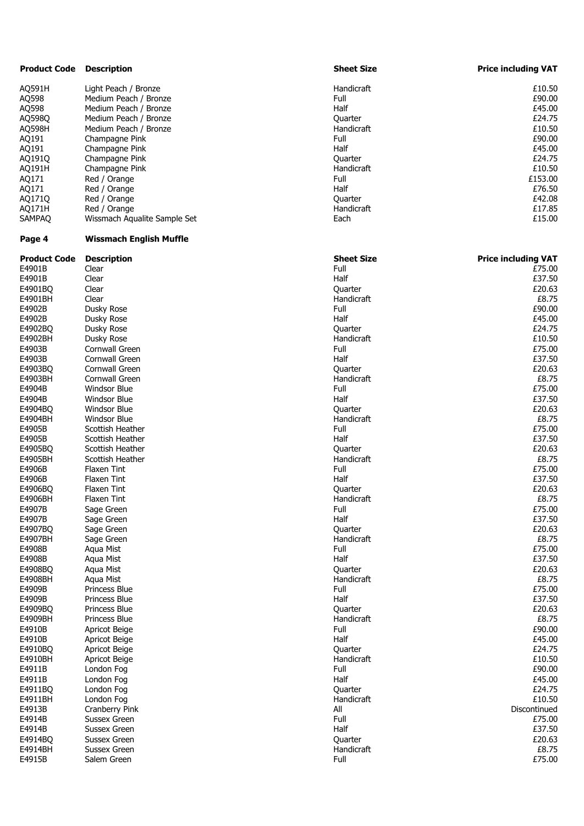| <b>Product Code</b> | <b>Description</b>             | <b>Sheet Size</b> | <b>Price including VAT</b> |
|---------------------|--------------------------------|-------------------|----------------------------|
| AQ591H              | Light Peach / Bronze           | Handicraft        | £10.50                     |
| AQ598               | Medium Peach / Bronze          | Full              | £90.00                     |
| AQ598               | Medium Peach / Bronze          | Half              | £45.00                     |
| AQ598Q              | Medium Peach / Bronze          | Quarter           | £24.75                     |
| AQ598H              | Medium Peach / Bronze          | Handicraft        | £10.50                     |
| AQ191               | Champagne Pink                 | Full              | £90.00                     |
| AQ191               | Champagne Pink                 | Half              | £45.00                     |
| AQ191Q              | Champagne Pink                 | Quarter           | £24.75                     |
| AQ191H              | Champagne Pink                 | Handicraft        | £10.50                     |
| AQ171               | Red / Orange                   | Full              | £153.00                    |
| AQ171               | Red / Orange                   | Half              | £76.50                     |
| AQ171Q              | Red / Orange                   | Quarter           | £42.08                     |
| AQ171H              | Red / Orange                   | Handicraft        | £17.85                     |
| <b>SAMPAQ</b>       | Wissmach Aqualite Sample Set   | Each              | £15.00                     |
| Page 4              | <b>Wissmach English Muffle</b> |                   |                            |
| <b>Product Code</b> | <b>Description</b>             | <b>Sheet Size</b> | <b>Price including VAT</b> |
| E4901B              | Clear                          | Full              | £75.00                     |
| E4901B              | Clear                          | Half              | £37.50                     |
| E4901BQ             | Clear                          | Quarter           | £20.63                     |
| E4901BH             | Clear                          | Handicraft        | £8.75                      |
| E4902B              | Dusky Rose                     | Full              | £90.00                     |
| E4902B              | Dusky Rose                     | Half              | £45.00                     |
| E4902BQ             | Dusky Rose                     | Ouarter           | £24.75                     |
| E4902BH             | Dusky Rose                     | Handicraft        | £10.50                     |
| E4903B              | Cornwall Green                 | Full              | £75.00                     |
| E4903B              | Cornwall Green                 | Half              | £37.50                     |
| E4903BQ             | Cornwall Green                 | Quarter           | £20.63                     |
| E4903BH             | Cornwall Green                 | Handicraft        | £8.75                      |
| E4904B              | <b>Windsor Blue</b>            | Full              | £75.00                     |
| E4904B              | <b>Windsor Blue</b>            | Half              | £37.50                     |
| E4904BQ             | <b>Windsor Blue</b>            | Quarter           | £20.63                     |
| E4904BH             | <b>Windsor Blue</b>            | Handicraft        | £8.75                      |
| E4905B              | Scottish Heather               | Full              | £75.00                     |
| E4905B              | Scottish Heather               | Half              | £37.50                     |
| E4905BQ             | Scottish Heather               | Quarter           | £20.63                     |
| E4905BH             | Scottish Heather               | Handicraft        | £8.75                      |
| E4906B              | Flaxen Tint                    | Full              | £75.00                     |
| E4906B              | Flaxen Tint                    | Half              | £37.50                     |
| E4906BO             | Flaxen Tint                    | Quarter           | £20.63                     |
| E4906BH             | Flaxen Tint                    | Handicraft        | £8.75                      |
| E4907B              | Sage Green                     | Full              | £75.00                     |
| E4907B              | Sage Green                     | Half              | £37.50                     |
| E4907BQ             | Sage Green                     | Quarter           | £20.63                     |
| E4907BH             | Sage Green                     | Handicraft        | £8.75                      |
| E4908B              | Aqua Mist                      | Full              | £75.00                     |
| E4908B              | Aqua Mist                      | Half              | £37.50                     |
| E4908BQ             | Aqua Mist                      | Quarter           | £20.63                     |
| E4908BH             | Aqua Mist                      | Handicraft        | £8.75                      |
| E4909B              | Princess Blue                  | Full              | £75.00                     |
| E4909B              | Princess Blue                  | Half              | £37.50                     |
| E4909BQ             | Princess Blue                  | Quarter           | £20.63                     |
| E4909BH             | Princess Blue                  | Handicraft        | £8.75                      |
| E4910B              | Apricot Beige                  | Full              | £90.00                     |
| E4910B              | Apricot Beige                  | Half              | £45.00                     |
| E4910BQ             | Apricot Beige                  | Quarter           | £24.75                     |
| E4910BH             | Apricot Beige                  | Handicraft        | £10.50                     |
| E4911B              | London Fog                     | Full              | £90.00                     |
| E4911B              | London Fog                     | Half              | £45.00                     |
| E4911BQ             | London Fog                     | Quarter           | £24.75                     |
| E4911BH             | London Fog                     | Handicraft        | £10.50                     |
| E4913B              | Cranberry Pink                 | All               | Discontinued               |
| E4914B              | Sussex Green                   | Full              | £75.00                     |
| E4914B              | Sussex Green                   | Half              | £37.50                     |
| E4914BQ             | Sussex Green                   | Quarter           | £20.63                     |
| E4914BH             | <b>Sussex Green</b>            | Handicraft        | £8.75                      |
| E4915B              | Salem Green                    | Full              | £75.00                     |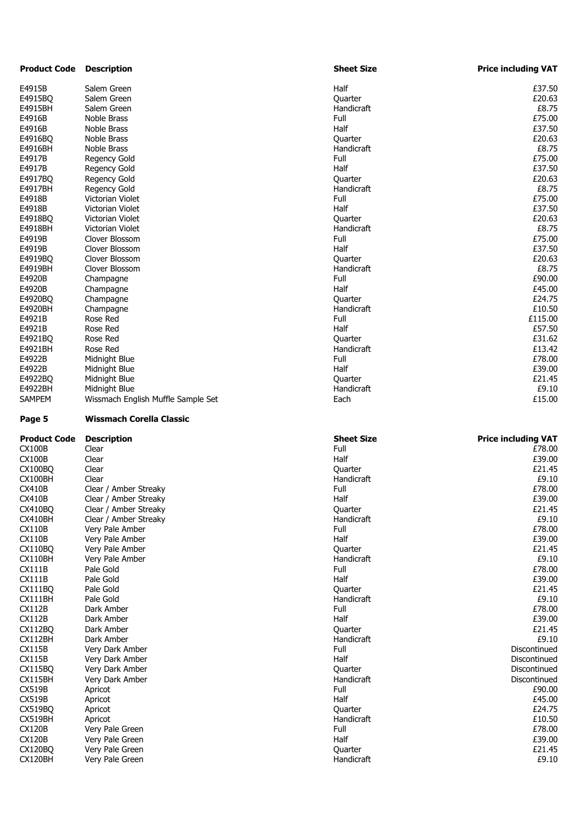| <b>Product Code</b> | <b>Description</b>                 | <b>Sheet Size</b>     | <b>Price including VAT</b> |
|---------------------|------------------------------------|-----------------------|----------------------------|
| E4915B              | Salem Green                        | Half                  | £37.50                     |
| E4915BQ             | Salem Green                        | Quarter               | £20.63                     |
| E4915BH             | Salem Green                        | Handicraft            | £8.75                      |
| E4916B              | Noble Brass                        | Full                  | £75.00                     |
| E4916B              | Noble Brass                        | Half                  | £37.50                     |
| E4916BQ             | Noble Brass                        | Quarter               | £20.63                     |
| E4916BH             | Noble Brass                        | Handicraft            | £8.75                      |
| E4917B              | Regency Gold                       | Full                  | £75.00                     |
| E4917B              | Regency Gold                       | Half                  | £37.50                     |
| E4917BQ             | Regency Gold                       | Quarter               | £20.63                     |
| E4917BH             | <b>Regency Gold</b>                | Handicraft            | £8.75                      |
| E4918B              | Victorian Violet                   | Full                  | £75.00                     |
| E4918B              | Victorian Violet                   | Half                  | £37.50                     |
| E4918BQ             | Victorian Violet                   | Quarter               | £20.63                     |
| E4918BH             | Victorian Violet                   | Handicraft            | £8.75                      |
| E4919B              | Clover Blossom                     | Full                  | £75.00                     |
| E4919B              | Clover Blossom                     | Half                  | £37.50                     |
| E4919BQ             | Clover Blossom                     | Quarter               | £20.63                     |
| E4919BH             | Clover Blossom                     | Handicraft            | £8.75                      |
| E4920B              | Champagne                          | Full                  | £90.00                     |
| E4920B              | Champagne                          | Half                  | £45.00                     |
| E4920BQ             | Champagne                          | Quarter               | £24.75                     |
| E4920BH             | Champagne                          | Handicraft            | £10.50                     |
| E4921B              | Rose Red                           | Full                  | £115.00                    |
| E4921B              | Rose Red                           | Half                  | £57.50                     |
| E4921BQ             | Rose Red                           | Quarter               | £31.62                     |
| E4921BH             | Rose Red                           | Handicraft            | £13.42                     |
| E4922B              | Midnight Blue                      | Full                  | £78.00                     |
| E4922B              | Midnight Blue                      | Half                  | £39.00                     |
| E4922BQ             | Midnight Blue                      | Quarter               | £21.45                     |
| E4922BH             | Midnight Blue                      | Handicraft            | £9.10                      |
| SAMPEM              | Wissmach English Muffle Sample Set | Each                  | £15.00                     |
| Page 5              | <b>Wissmach Corella Classic</b>    |                       |                            |
|                     |                                    |                       |                            |
|                     |                                    |                       |                            |
| Product Code        | <b>Description</b>                 | <b>Sheet Size</b>     | <b>Price including VAT</b> |
| CX100B              | Clear                              | Full                  | £78.00                     |
| <b>CX100B</b>       | Clear                              | Half                  | £39.00                     |
| CX100BQ             | Clear                              | Quarter               | £21.45                     |
| CX100BH             | Clear                              | Handicraft            | £9.10                      |
| CX410B              | Clear / Amber Streaky              | Full                  | £78.00                     |
| CX410B              | Clear / Amber Streaky              | Half                  | £39.00                     |
| CX410BQ             | Clear / Amber Streaky              | Quarter               | £21.45                     |
| CX410BH             | Clear / Amber Streaky              | Handicraft            | £9.10                      |
| CX110B              | Very Pale Amber                    | Full                  | £78.00                     |
| CX110B              | Very Pale Amber                    | Half                  | £39.00                     |
| CX110BQ             | Very Pale Amber                    | Quarter               | £21.45                     |
| CX110BH             | Very Pale Amber                    | Handicraft            | £9.10                      |
| CX111B              | Pale Gold                          | Full                  | £78.00                     |
| CX111B              | Pale Gold                          | Half                  | £39.00                     |
| CX111BO             | Pale Gold                          | Quarter               | £21.45                     |
| CX111BH             | Pale Gold                          | Handicraft            | £9.10                      |
| CX112B              | Dark Amber                         | Full                  | £78.00                     |
| CX112B              | Dark Amber                         | Half                  | £39.00                     |
| CX112BQ             | Dark Amber                         | Quarter               | £21.45                     |
| CX112BH             | Dark Amber                         | Handicraft            | £9.10                      |
| CX115B              | Very Dark Amber                    | Full                  | Discontinued               |
| CX115B              | Very Dark Amber                    | Half                  | Discontinued               |
| CX115BQ             | Very Dark Amber                    | Quarter               | Discontinued               |
| CX115BH             | Very Dark Amber                    | Handicraft            | Discontinued               |
| CX519B              | Apricot                            | Full                  | £90.00                     |
| CX519B              | Apricot                            | Half                  | £45.00                     |
| CX519BQ             | Apricot                            | Quarter               | £24.75                     |
| CX519BH             | Apricot                            | Handicraft            | £10.50                     |
| CX120B              | Very Pale Green                    | Full                  | £78.00                     |
| CX120B              | Very Pale Green                    | Half                  | £39.00                     |
| CX120BQ<br>CX120BH  | Very Pale Green<br>Very Pale Green | Quarter<br>Handicraft | £21.45<br>£9.10            |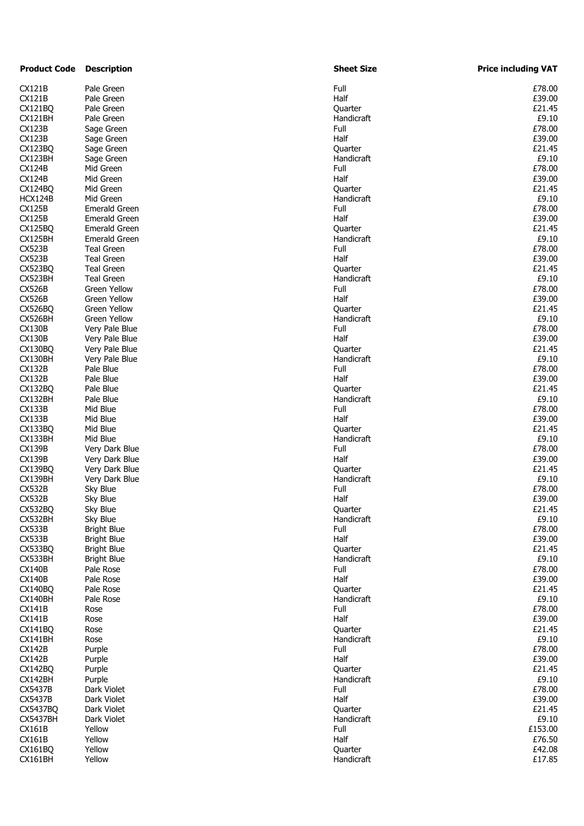| <b>Product Code</b> | <b>Description</b>   | <b>Sheet Size</b> | <b>Price including VAT</b> |
|---------------------|----------------------|-------------------|----------------------------|
| CX121B              | Pale Green           | Full              | £78.00                     |
| CX121B              | Pale Green           | Half              | £39.00                     |
| CX121BQ             | Pale Green           | Quarter           | £21.45                     |
| CX121BH             | Pale Green           | Handicraft        | £9.10                      |
| CX123B              | Sage Green           | Full              | £78.00                     |
| CX123B              | Sage Green           | Half              | £39.00                     |
| CX123BQ             | Sage Green           | Quarter           | £21.45                     |
| CX123BH             | Sage Green           | Handicraft        | £9.10                      |
| CX124B              | Mid Green            | Full              | £78.00                     |
| CX124B              | Mid Green            | Half              | £39.00                     |
| CX124BQ             | Mid Green            | Quarter           | £21.45                     |
| HCX124B             | Mid Green            | Handicraft        | £9.10                      |
| CX125B              | <b>Emerald Green</b> | Full              | £78.00                     |
| CX125B              | <b>Emerald Green</b> | Half              | £39.00                     |
| CX125BQ             | <b>Emerald Green</b> | Quarter           | £21.45                     |
| CX125BH             | <b>Emerald Green</b> | Handicraft        | £9.10                      |
| CX523B              | <b>Teal Green</b>    | Full              | £78.00                     |
|                     |                      |                   |                            |
| CX523B              | <b>Teal Green</b>    | Half              | £39.00                     |
| CX523BQ             | <b>Teal Green</b>    | Quarter           | £21.45                     |
| CX523BH             | <b>Teal Green</b>    | Handicraft        | £9.10                      |
| CX526B              | Green Yellow         | Full              | £78.00                     |
| CX526B              | <b>Green Yellow</b>  | Half              | £39.00                     |
| CX526BO             | <b>Green Yellow</b>  | Quarter           | £21.45                     |
| CX526BH             | <b>Green Yellow</b>  | Handicraft        | £9.10                      |
| CX130B              | Very Pale Blue       | Full              | £78.00                     |
| <b>CX130B</b>       | Very Pale Blue       | Half              | £39.00                     |
| CX130BQ             | Very Pale Blue       | Quarter           | £21.45                     |
| CX130BH             | Very Pale Blue       | Handicraft        | £9.10                      |
| CX132B              | Pale Blue            | Full              | £78.00                     |
| CX132B              | Pale Blue            | Half              | £39.00                     |
| CX132BQ             | Pale Blue            | Quarter           | £21.45                     |
| CX132BH             | Pale Blue            | Handicraft        | £9.10                      |
| CX133B              | Mid Blue             | Full              | £78.00                     |
| CX133B              | Mid Blue             | Half              | £39.00                     |
| CX133BQ             | Mid Blue             | Quarter           | £21.45                     |
| CX133BH             | Mid Blue             | Handicraft        | £9.10                      |
| CX139B              | Very Dark Blue       | Full              | £78.00                     |
| CX139B              | Very Dark Blue       | Half              | £39.00                     |
| CX139BQ             | Very Dark Blue       | Quarter           | £21.45                     |
| CX139BH             |                      | Handicraft        | £9.10                      |
|                     | Very Dark Blue       |                   |                            |
| CX532B              | Sky Blue             | Full              | £78.00                     |
| CX532B              | Sky Blue             | Half              | £39.00                     |
| CX532BQ             | Sky Blue             | Quarter           | £21.45                     |
| CX532BH             | Sky Blue             | Handicraft        | £9.10                      |
| CX533B              | <b>Bright Blue</b>   | Full              | £78.00                     |
| CX533B              | <b>Bright Blue</b>   | Half              | £39.00                     |
| CX533BQ             | <b>Bright Blue</b>   | Quarter           | £21.45                     |
| CX533BH             | <b>Bright Blue</b>   | Handicraft        | £9.10                      |
| CX140B              | Pale Rose            | Full              | £78.00                     |
| <b>CX140B</b>       | Pale Rose            | Half              | £39.00                     |
| CX140BQ             | Pale Rose            | Quarter           | £21.45                     |
| CX140BH             | Pale Rose            | Handicraft        | £9.10                      |
| CX141B              | Rose                 | Full              | £78.00                     |
| CX141B              | Rose                 | Half              | £39.00                     |
| CX141BQ             | Rose                 | Quarter           | £21.45                     |
| CX141BH             | Rose                 | Handicraft        | £9.10                      |
| CX142B              | Purple               | Full              | £78.00                     |
| CX142B              | Purple               | Half              | £39.00                     |
| CX142BQ             | Purple               | Quarter           | £21.45                     |
| CX142BH             | Purple               | Handicraft        | £9.10                      |
| CX5437B             | Dark Violet          | Full              | £78.00                     |
| CX5437B             | Dark Violet          | Half              | £39.00                     |
| CX5437BO            | Dark Violet          |                   | £21.45                     |
|                     |                      | Quarter           |                            |
| CX5437BH            | Dark Violet          | Handicraft        | £9.10                      |
| CX161B              | Yellow               | Full              | £153.00                    |
| CX161B              | Yellow               | Half              | £76.50                     |
| CX161BQ             | Yellow               | Quarter           | £42.08                     |
| CX161BH             | Yellow               | Handicraft        | £17.85                     |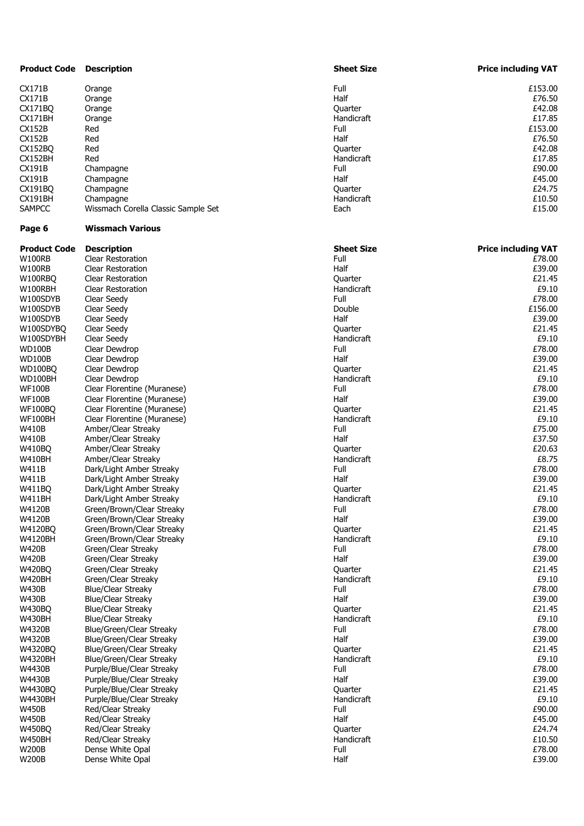| <b>Product Code</b> | <b>Description</b>                  | <b>Sheet Size</b>  | <b>Price including VAT</b> |
|---------------------|-------------------------------------|--------------------|----------------------------|
| CX171B              | Orange                              | Full               | £153.00                    |
| CX171B              | Orange                              | Half               | £76.50                     |
| CX171BQ             | Orange                              | Quarter            | £42.08                     |
| CX171BH             | Orange                              | <b>Handicraft</b>  | £17.85                     |
| CX152B              | Red                                 | Full               | £153.00                    |
| <b>CX152B</b>       | Red                                 | Half               | £76.50                     |
| CX152BQ             | Red                                 | Quarter            | £42.08                     |
| CX152BH             | Red                                 | Handicraft         | £17.85                     |
| CX191B              | Champagne                           | Full               | £90.00                     |
| CX191B              | Champagne                           | Half               | £45.00                     |
| CX191BQ             | Champagne                           | Quarter            | £24.75                     |
| CX191BH             | Champagne                           | Handicraft         | £10.50                     |
| <b>SAMPCC</b>       | Wissmach Corella Classic Sample Set | Each               | £15.00                     |
| Page 6              | <b>Wissmach Various</b>             |                    |                            |
| <b>Product Code</b> | <b>Description</b>                  | <b>Sheet Size</b>  | <b>Price including VAT</b> |
| W100RB              | Clear Restoration                   | Full               | £78.00                     |
| W100RB              | <b>Clear Restoration</b>            | Half               | £39.00                     |
| W100RBO             | <b>Clear Restoration</b>            | Quarter            | £21.45                     |
| W100RBH             | <b>Clear Restoration</b>            | Handicraft         | £9.10                      |
| W100SDYB            | Clear Seedy                         | Full               | £78.00                     |
| W100SDYB            | Clear Seedy                         | Double             | £156.00                    |
| W100SDYB            | Clear Seedy                         | Half               | £39.00                     |
| W100SDYBQ           | Clear Seedy                         | Quarter            | £21.45                     |
| W100SDYBH           | Clear Seedy                         | Handicraft         | £9.10                      |
| WD100B              | Clear Dewdrop                       | Full               | £78.00                     |
| WD100B              | Clear Dewdrop                       | Half               | £39.00                     |
| WD100BQ             | Clear Dewdrop                       | Quarter            | £21.45                     |
| WD100BH             | Clear Dewdrop                       | Handicraft         | £9.10                      |
| WF100B              | Clear Florentine (Muranese)         | Full               | £78.00                     |
| WF100B              | Clear Florentine (Muranese)         | Half               | £39.00                     |
| WF100BO             | Clear Florentine (Muranese)         | Quarter            | £21.45                     |
| WF100BH             | Clear Florentine (Muranese)         | Handicraft         | £9.10                      |
| W410B               | Amber/Clear Streaky                 | Full               | £75.00                     |
| W410B               | Amber/Clear Streaky                 | Half               | £37.50                     |
| W410BQ              | Amber/Clear Streaky                 | Quarter            | £20.63                     |
| W410BH              | Amber/Clear Streaky                 | Handicraft         | £8.75                      |
| W411B               | Dark/Light Amber Streaky            | Full               | £78.00                     |
| W411B               | Dark/Light Amber Streaky            | Half               | £39.00                     |
| W411BQ              | Dark/Light Amber Streaky            | Quarter            | £21.45                     |
| W411BH              | Dark/Light Amber Streaky            | <b>Handicraft</b>  | £9.10                      |
| W4120B              | Green/Brown/Clear Streaky           | Full               | £78.00                     |
| W4120B              | Green/Brown/Clear Streaky           | Half               | £39.00                     |
| W4120BQ             | Green/Brown/Clear Streaky           | Quarter            | £21.45                     |
| W4120BH             | Green/Brown/Clear Streaky           | Handicraft         | £9.10                      |
| W420B               | Green/Clear Streaky                 | Full               | £78.00                     |
| <b>W420B</b>        | Green/Clear Streaky                 | Half               | £39.00                     |
| W420BQ              | Green/Clear Streaky                 | Quarter            | £21.45                     |
| W420BH              | Green/Clear Streaky                 | Handicraft         | £9.10                      |
| W430B               |                                     |                    | £78.00                     |
|                     | <b>Blue/Clear Streaky</b>           | Full               |                            |
| W430B               | <b>Blue/Clear Streaky</b>           | Half               | £39.00                     |
| W430BO              | <b>Blue/Clear Streaky</b>           | Quarter            | £21.45                     |
| W430BH              | <b>Blue/Clear Streaky</b>           | Handicraft<br>Full | £9.10<br>£78.00            |
| W4320B              | Blue/Green/Clear Streaky            |                    |                            |
| W4320B              | Blue/Green/Clear Streaky            | Half               | £39.00                     |
| W4320BQ             | Blue/Green/Clear Streaky            | Quarter            | £21.45                     |
| W4320BH             | Blue/Green/Clear Streaky            | Handicraft         | £9.10                      |
| W4430B              | Purple/Blue/Clear Streaky           | Full               | £78.00                     |
| W4430B              | Purple/Blue/Clear Streaky           | Half               | £39.00                     |
| W4430BQ             | Purple/Blue/Clear Streaky           | Quarter            | £21.45                     |
| W4430BH             | Purple/Blue/Clear Streaky           | Handicraft         | £9.10                      |
| W450B               | Red/Clear Streaky                   | Full               | £90.00                     |
| W450B               | Red/Clear Streaky                   | Half               | £45.00                     |
| W450BQ              | Red/Clear Streaky                   | Quarter            | £24.74                     |
| W450BH              | Red/Clear Streaky                   | Handicraft         | £10.50                     |
| W200B               | Dense White Opal                    | Full               | £78.00                     |
| W200B               | Dense White Opal                    | Half               | £39.00                     |
|                     |                                     |                    |                            |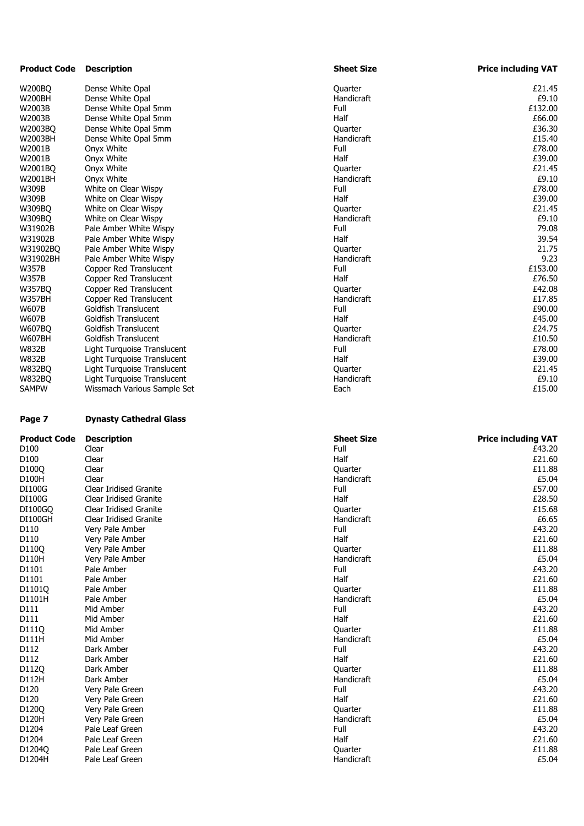| <b>Product Code</b>                                                                                                     | <b>Description</b>                 | <b>Sheet Size</b>     | <b>Price including VAT</b> |
|-------------------------------------------------------------------------------------------------------------------------|------------------------------------|-----------------------|----------------------------|
| <b>W200BQ</b>                                                                                                           | Dense White Opal                   | Quarter               | £21.45                     |
| <b>W200BH</b>                                                                                                           | Dense White Opal                   | Handicraft            | £9.10                      |
| W2003B                                                                                                                  | Dense White Opal 5mm               | Full                  | £132.00                    |
| W2003B                                                                                                                  | Dense White Opal 5mm               | Half                  | £66.00                     |
| W2003BQ                                                                                                                 | Dense White Opal 5mm               | Quarter               | £36.30                     |
| W2003BH                                                                                                                 | Dense White Opal 5mm               | Handicraft            | £15.40                     |
| W2001B                                                                                                                  | Onyx White                         | Full                  | £78.00                     |
| W2001B                                                                                                                  | Onyx White                         | Half                  | £39.00                     |
| W2001BQ                                                                                                                 | Onyx White                         | Quarter               | £21.45                     |
| W2001BH                                                                                                                 | Onyx White                         | Handicraft            | £9.10                      |
| W309B                                                                                                                   | White on Clear Wispy               | Full                  | £78.00                     |
| W309B                                                                                                                   | White on Clear Wispy               | Half                  | £39.00                     |
| <b>W309BQ</b>                                                                                                           | White on Clear Wispy               | Quarter               | £21.45                     |
| W309BQ                                                                                                                  | White on Clear Wispy               | Handicraft            | £9.10                      |
| W31902B                                                                                                                 | Pale Amber White Wispy             | Full                  | 79.08                      |
| W31902B                                                                                                                 | Pale Amber White Wispy             | Half                  | 39.54                      |
| W31902BQ                                                                                                                | Pale Amber White Wispy             | Quarter               | 21.75                      |
| W31902BH                                                                                                                | Pale Amber White Wispy             | Handicraft            | 9.23                       |
| <b>W357B</b>                                                                                                            | Copper Red Translucent             | Full                  | £153.00                    |
| <b>W357B</b>                                                                                                            | Copper Red Translucent             | Half                  | £76.50                     |
| <b>W357BQ</b>                                                                                                           | Copper Red Translucent             | Quarter               | £42.08                     |
| <b>W357BH</b>                                                                                                           | Copper Red Translucent             | Handicraft            | £17.85                     |
| <b>W607B</b>                                                                                                            | Goldfish Translucent               | Full                  | £90.00                     |
| <b>W607B</b>                                                                                                            | Goldfish Translucent               | Half                  | £45.00                     |
| <b>W607BQ</b>                                                                                                           | <b>Goldfish Translucent</b>        | Quarter               | £24.75                     |
| <b>W607BH</b>                                                                                                           | Goldfish Translucent               | Handicraft            | £10.50                     |
| <b>W832B</b>                                                                                                            | Light Turquoise Translucent        | Full                  | £78.00                     |
| <b>W832B</b>                                                                                                            | Light Turquoise Translucent        | Half                  | £39.00                     |
| <b>W832BQ</b>                                                                                                           | Light Turquoise Translucent        | Quarter               | £21.45                     |
| <b>W832BQ</b>                                                                                                           | Light Turquoise Translucent        | Handicraft            | £9.10                      |
| <b>SAMPW</b>                                                                                                            | Wissmach Various Sample Set        | Each                  | £15.00                     |
| Page 7                                                                                                                  | <b>Dynasty Cathedral Glass</b>     |                       |                            |
| Product Code                                                                                                            | <b>Description</b>                 | <b>Sheet Size</b>     | <b>Price including VAT</b> |
| D <sub>100</sub>                                                                                                        | Clear                              | Full                  | £43.20                     |
| D100                                                                                                                    | Clear                              | Half                  | £21.60                     |
| D100Q                                                                                                                   | Clear                              | Quarter               | £11.88                     |
| D100H                                                                                                                   | Clear                              | Handicraft            |                            |
| DI100G                                                                                                                  | <b>Clear Iridised Granite</b>      |                       | £5.04                      |
|                                                                                                                         |                                    | Full                  | £57.00                     |
| DI100G                                                                                                                  | Clear Iridised Granite             | Half                  | £28.50                     |
| DI100GQ                                                                                                                 | Clear Iridised Granite             | Quarter               | £15.68                     |
| DI100GH                                                                                                                 | <b>Clear Iridised Granite</b>      | Handicraft            | £6.65                      |
| D110                                                                                                                    | Very Pale Amber                    | Full                  | £43.20                     |
|                                                                                                                         | Very Pale Amber                    | Half                  | £21.60                     |
|                                                                                                                         | Very Pale Amber                    | Quarter               | £11.88                     |
|                                                                                                                         | Very Pale Amber                    | Handicraft            | £5.04                      |
| D110<br>D110Q<br>D110H<br>D1101                                                                                         | Pale Amber                         | Full                  | £43.20                     |
| D1101                                                                                                                   | Pale Amber                         | Half                  | £21.60                     |
| D1101Q                                                                                                                  | Pale Amber                         | Quarter               | £11.88                     |
|                                                                                                                         | Pale Amber                         | Handicraft            | £5.04                      |
|                                                                                                                         | Mid Amber                          | Full                  | £43.20                     |
|                                                                                                                         | Mid Amber                          | Half                  | £21.60                     |
|                                                                                                                         | Mid Amber                          | Quarter               | £11.88                     |
| D111H                                                                                                                   | Mid Amber                          | Handicraft            | £5.04                      |
|                                                                                                                         | Dark Amber                         | Full                  | £43.20                     |
|                                                                                                                         | Dark Amber                         | Half                  | £21.60                     |
|                                                                                                                         | Dark Amber                         | Quarter               | £11.88                     |
|                                                                                                                         | Dark Amber                         | Handicraft            | £5.04                      |
|                                                                                                                         | Very Pale Green                    | Full                  | £43.20                     |
|                                                                                                                         | Very Pale Green                    | Half                  | £21.60                     |
| D120Q                                                                                                                   | Very Pale Green                    | Quarter               | £11.88                     |
|                                                                                                                         | Very Pale Green                    | Handicraft            | £5.04                      |
|                                                                                                                         | Pale Leaf Green                    | Full                  | £43.20                     |
| D1204                                                                                                                   | Pale Leaf Green                    | Half                  | £21.60                     |
| D1101H<br>D111<br>D111<br>D111Q<br>D112<br>D112<br>D112Q<br>D112H<br>D120<br>D120<br>D120H<br>D1204<br>D1204Q<br>D1204H | Pale Leaf Green<br>Pale Leaf Green | Quarter<br>Handicraft | £11.88<br>£5.04            |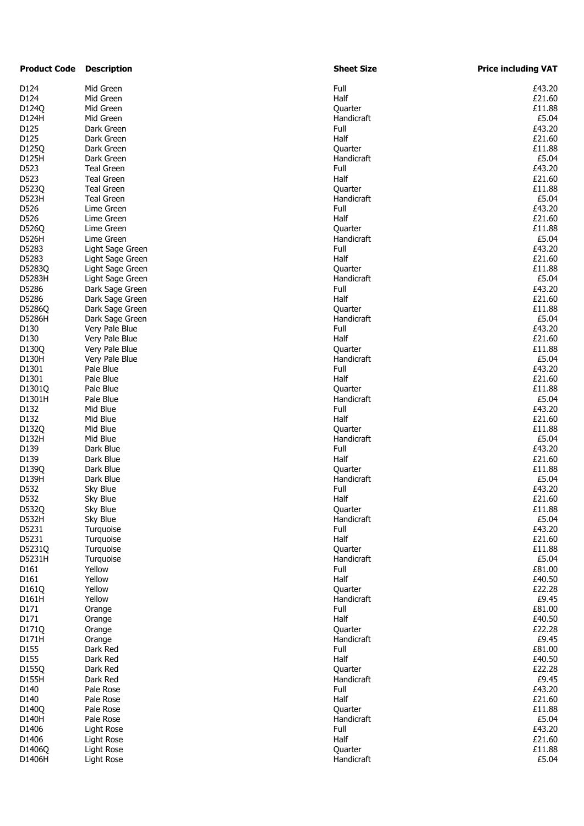| <b>Product Code</b> | <b>Description</b> |      | <b>Sheet Size</b> | <b>Price including VAT</b> |
|---------------------|--------------------|------|-------------------|----------------------------|
| D124                | Mid Green          | Full |                   | £43.20                     |
| D124                | Mid Green          | Half |                   | £21.60                     |
| D124Q               | Mid Green          |      | Quarter           | £11.88                     |
| D124H               | Mid Green          |      | Handicraft        | £5.04                      |
| D125                | Dark Green         | Full |                   | £43.20                     |
| D125                | Dark Green         | Half |                   | £21.60                     |
| D125Q               | Dark Green         |      | Quarter           | £11.88                     |
| D125H               | Dark Green         |      | Handicraft        | £5.04                      |
| D523                | Teal Green         | Full |                   | £43.20                     |
| D523                | <b>Teal Green</b>  | Half |                   | £21.60                     |
| D523Q               | <b>Teal Green</b>  |      | Quarter           | £11.88                     |
| D523H               | <b>Teal Green</b>  |      | Handicraft        | £5.04                      |
| D526                |                    | Full |                   | £43.20                     |
|                     | Lime Green         |      |                   |                            |
| D526                | Lime Green         | Half |                   | £21.60                     |
| D526Q               | Lime Green         |      | Quarter           | £11.88                     |
| D526H               | Lime Green         |      | Handicraft        | £5.04                      |
| D5283               | Light Sage Green   | Full |                   | £43.20                     |
| D5283               | Light Sage Green   | Half |                   | £21.60                     |
| D5283Q              | Light Sage Green   |      | Quarter           | £11.88                     |
| D5283H              | Light Sage Green   |      | Handicraft        | £5.04                      |
| D5286               | Dark Sage Green    | Full |                   | £43.20                     |
| D5286               | Dark Sage Green    | Half |                   | £21.60                     |
| D5286Q              | Dark Sage Green    |      | Quarter           | £11.88                     |
| D5286H              | Dark Sage Green    |      | Handicraft        | £5.04                      |
| D130                | Very Pale Blue     | Full |                   | £43.20                     |
| D130                | Very Pale Blue     | Half |                   | £21.60                     |
| D130Q               | Very Pale Blue     |      | Quarter           | £11.88                     |
| D130H               | Very Pale Blue     |      | Handicraft        | £5.04                      |
| D1301               | Pale Blue          | Full |                   | £43.20                     |
| D1301               | Pale Blue          | Half |                   | £21.60                     |
| D1301Q              | Pale Blue          |      | Quarter           | £11.88                     |
| D1301H              | Pale Blue          |      | Handicraft        | £5.04                      |
| D132                | Mid Blue           | Full |                   | £43.20                     |
| D132                | Mid Blue           | Half |                   | £21.60                     |
| D132Q               | Mid Blue           |      | Quarter           | £11.88                     |
| D132H               | Mid Blue           |      | Handicraft        | £5.04                      |
|                     | Dark Blue          |      |                   |                            |
| D139                |                    | Full |                   | £43.20                     |
| D139                | Dark Blue          | Half |                   | £21.60                     |
| D139Q               | Dark Blue          |      | <b>Quarter</b>    | £11.88                     |
| D139H               | Dark Blue          |      | Handicraft        | £5.04                      |
| D532                | Sky Blue           | Full |                   | £43.20                     |
| D532                | Sky Blue           | Half |                   | £21.60                     |
| D532Q               | Sky Blue           |      | Quarter           | £11.88                     |
| D532H               | Sky Blue           |      | Handicraft        | £5.04                      |
| D5231               | Turquoise          | Full |                   | £43.20                     |
| D5231               | Turquoise          | Half |                   | £21.60                     |
| D5231Q              | Turquoise          |      | Quarter           | £11.88                     |
| D5231H              | Turquoise          |      | Handicraft        | £5.04                      |
| D161                | Yellow             | Full |                   | £81.00                     |
| D161                | Yellow             | Half |                   | £40.50                     |
| D161Q               | Yellow             |      | Quarter           | £22.28                     |
| D161H               | Yellow             |      | Handicraft        | £9.45                      |
| D171                | Orange             | Full |                   | £81.00                     |
| D171                | Orange             | Half |                   | £40.50                     |
| D171Q               | Orange             |      | Quarter           | £22.28                     |
| D171H               | Orange             |      | Handicraft        | £9.45                      |
| D155                | Dark Red           | Full |                   | £81.00                     |
| D155                | Dark Red           | Half |                   | £40.50                     |
|                     |                    |      |                   | £22.28                     |
| D155Q               | Dark Red           |      | Quarter           |                            |
| D155H               | Dark Red           |      | Handicraft        | £9.45                      |
| D140                | Pale Rose          | Full |                   | £43.20                     |
| D140                | Pale Rose          | Half |                   | £21.60                     |
| D140Q               | Pale Rose          |      | Quarter           | £11.88                     |
| D140H               | Pale Rose          |      | Handicraft        | £5.04                      |
| D1406               | Light Rose         | Full |                   | £43.20                     |
| D1406               | Light Rose         | Half |                   | £21.60                     |
| D1406Q              | Light Rose         |      | Quarter           | £11.88                     |
| D1406H              | Light Rose         |      | Handicraft        | £5.04                      |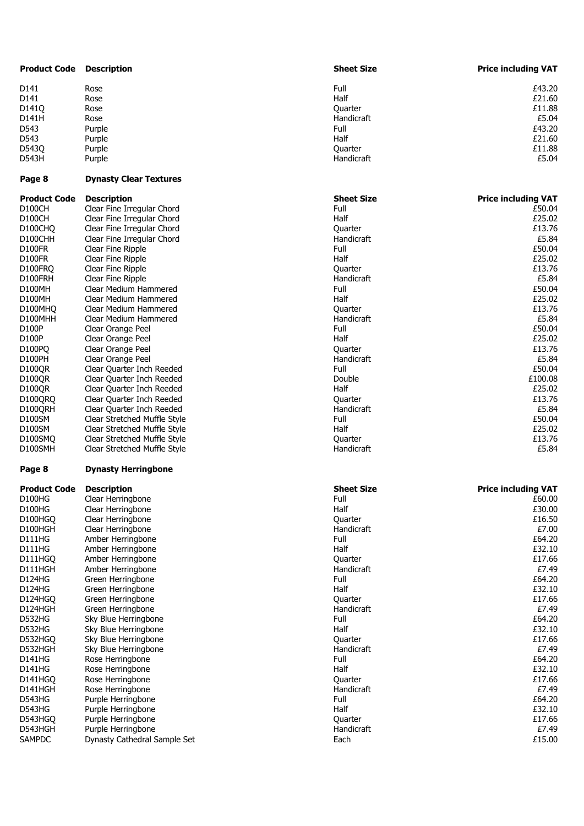| <b>Product Code</b> | <b>Description</b>            | <b>Sheet Size</b> | <b>Price including VAT</b> |
|---------------------|-------------------------------|-------------------|----------------------------|
| D141                | Rose                          | Full              | £43.20                     |
| D141                | Rose                          | Half              | £21.60                     |
| D141Q               | Rose                          | Quarter           | £11.88                     |
| D141H               | Rose                          | Handicraft        | £5.04                      |
| D543                | Purple                        | Full              | £43.20                     |
|                     |                               |                   |                            |
| D543                | Purple                        | Half              | £21.60                     |
| D543Q               | Purple                        | Quarter           | £11.88                     |
| D543H               | Purple                        | Handicraft        | £5.04                      |
| Page 8              | <b>Dynasty Clear Textures</b> |                   |                            |
| <b>Product Code</b> | <b>Description</b>            | <b>Sheet Size</b> | <b>Price including VAT</b> |
| <b>D100CH</b>       | Clear Fine Irregular Chord    | Full              | £50.04                     |
| D100CH              | Clear Fine Irregular Chord    | Half              | £25.02                     |
| D100CHQ             | Clear Fine Irregular Chord    | Quarter           | £13.76                     |
| D100CHH             | Clear Fine Irregular Chord    | Handicraft        | £5.84                      |
| D100FR              | Clear Fine Ripple             | Full              | £50.04                     |
| <b>D100FR</b>       | Clear Fine Ripple             | Half              | £25.02                     |
| D100FRQ             | Clear Fine Ripple             | Quarter           | £13.76                     |
| D100FRH             | Clear Fine Ripple             | Handicraft        | £5.84                      |
| <b>D100MH</b>       | Clear Medium Hammered         | Full              | £50.04                     |
|                     |                               |                   | £25.02                     |
| D100MH              | Clear Medium Hammered         | Half              |                            |
| D100MHQ             | Clear Medium Hammered         | Ouarter           | £13.76                     |
| D100MHH             | Clear Medium Hammered         | Handicraft        | £5.84                      |
| D100P               | Clear Orange Peel             | Full              | £50.04                     |
| D100P               | Clear Orange Peel             | Half              | £25.02                     |
| D100PQ              | Clear Orange Peel             | Quarter           | £13.76                     |
| D100PH              | Clear Orange Peel             | Handicraft        | £5.84                      |
| <b>D100QR</b>       | Clear Quarter Inch Reeded     | Full              | £50.04                     |
| <b>D100QR</b>       | Clear Quarter Inch Reeded     | Double            | £100.08                    |
| D100QR              | Clear Quarter Inch Reeded     | Half              | £25.02                     |
| D100QRQ             | Clear Quarter Inch Reeded     | Quarter           | £13.76                     |
| D100QRH             | Clear Quarter Inch Reeded     | Handicraft        | £5.84                      |
| D100SM              | Clear Stretched Muffle Style  | Full              | £50.04                     |
| D100SM              | Clear Stretched Muffle Style  | Half              | £25.02                     |
| D100SMQ             | Clear Stretched Muffle Style  | Quarter           | £13.76                     |
| D100SMH             | Clear Stretched Muffle Style  | Handicraft        | £5.84                      |
| Page 8              | <b>Dynasty Herringbone</b>    |                   |                            |
| <b>Product Code</b> | <b>Description</b>            | <b>Sheet Size</b> | <b>Price including VAT</b> |
| D100HG              | Clear Herringbone             | Full              | £60.00                     |
| D100HG              | Clear Herringbone             | Half              | £30.00                     |
| D100HGQ             | Clear Herringbone             | Quarter           | £16.50                     |
| D100HGH             | Clear Herringbone             | Handicraft        | £7.00                      |
| D111HG              | Amber Herringbone             | Full              | £64.20                     |
| D111HG              | Amber Herringbone             | Half              | £32.10                     |
| D111HGQ             | Amber Herringbone             | Quarter           | £17.66                     |
| D111HGH             | Amber Herringbone             | Handicraft        | £7.49                      |
| D124HG              | Green Herringbone             | Full              | £64.20                     |
| D124HG              | Green Herringbone             | Half              | £32.10                     |
| D124HGQ             | Green Herringbone             | Quarter           | £17.66                     |
| D124HGH             | Green Herringbone             | Handicraft        | £7.49                      |
| D532HG              | Sky Blue Herringbone          | Full              | £64.20                     |
| D532HG              | Sky Blue Herringbone          | Half              | £32.10                     |
|                     |                               |                   |                            |
| D532HGQ             | Sky Blue Herringbone          | Quarter           | £17.66                     |
| D532HGH             | Sky Blue Herringbone          | Handicraft        | £7.49                      |
| D141HG              | Rose Herringbone              | Full              | £64.20                     |
| D141HG              | Rose Herringbone              | Half              | £32.10                     |
| D141HGQ             | Rose Herringbone              | Quarter           | £17.66                     |
| D141HGH             | Rose Herringbone              | Handicraft        | £7.49                      |
| D543HG              | Purple Herringbone            | Full              | £64.20                     |
| D543HG              | Purple Herringbone            | Half              | £32.10                     |
| D543HGQ             | Purple Herringbone            | Quarter           | £17.66                     |
| D543HGH             | Purple Herringbone            | Handicraft        | £7.49                      |
| <b>SAMPDC</b>       | Dynasty Cathedral Sample Set  | Each              | £15.00                     |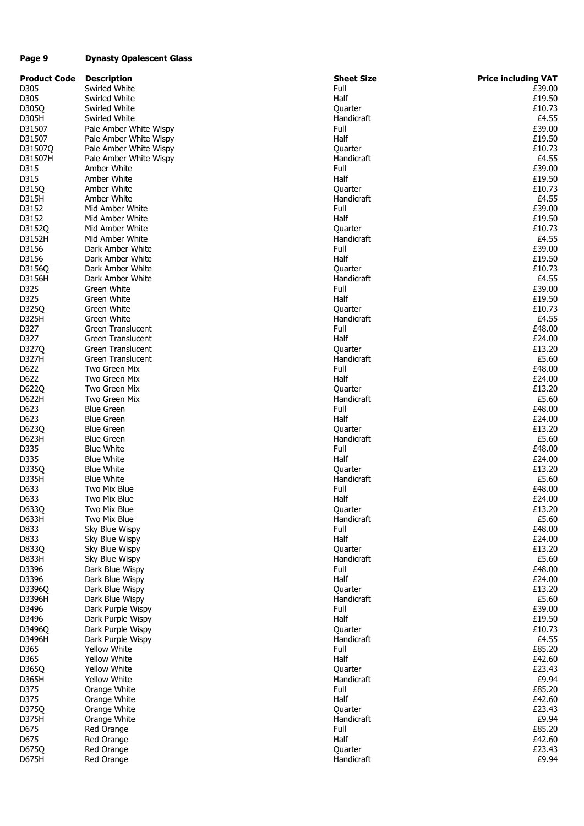#### **Page 9 Dynasty Opalescent Glass**

| <b>Product Code</b> | <b>Description</b>       | <b>Sheet Size</b> | <b>Price including VAT</b> |
|---------------------|--------------------------|-------------------|----------------------------|
| D305                | Swirled White            | Full              | £39.00                     |
| D305                | Swirled White            | Half              | £19.50                     |
| D305Q               | Swirled White            | Quarter           | £10.73                     |
| D305H               | Swirled White            | Handicraft        | £4.55                      |
| D31507              | Pale Amber White Wispy   | Full              | £39.00                     |
| D31507              | Pale Amber White Wispy   | Half              | £19.50                     |
| D31507Q             | Pale Amber White Wispy   | Quarter           | £10.73                     |
| D31507H             | Pale Amber White Wispy   | Handicraft        | £4.55                      |
| D315                | Amber White              | Full              | £39.00                     |
| D315                | Amber White              | Half              | £19.50                     |
| D315Q               | Amber White              | Quarter           | £10.73                     |
| D315H               | Amber White              | Handicraft        | £4.55                      |
| D3152               | Mid Amber White          | Full              | £39.00                     |
| D3152               | Mid Amber White          | Half              | £19.50                     |
| D3152Q              | Mid Amber White          | Quarter           | £10.73                     |
| D3152H              | Mid Amber White          | Handicraft        | £4.55                      |
| D3156               | Dark Amber White         | Full              | £39.00                     |
| D3156               | Dark Amber White         | Half              | £19.50                     |
| D3156Q              | Dark Amber White         | Quarter           | £10.73                     |
| D3156H              | Dark Amber White         | Handicraft        | £4.55                      |
| D325                | Green White              | Full              | £39.00                     |
| D325                | Green White              | Half              | £19.50                     |
|                     |                          |                   |                            |
| D325Q               | Green White              | Quarter           | £10.73                     |
| D325H               | Green White              | Handicraft        | £4.55                      |
| D327                | Green Translucent        | Full              | £48.00                     |
| D327                | <b>Green Translucent</b> | Half              | £24.00                     |
| D327Q               | <b>Green Translucent</b> | Quarter           | £13.20                     |
| D327H               | <b>Green Translucent</b> | Handicraft        | £5.60                      |
| D622                | Two Green Mix            | Full              | £48.00                     |
| D622                | Two Green Mix            | Half              | £24.00                     |
| D622Q               | Two Green Mix            | Quarter           | £13.20                     |
| D622H               | Two Green Mix            | Handicraft        | £5.60                      |
| D623                | <b>Blue Green</b>        | Full              | £48.00                     |
| D623                | <b>Blue Green</b>        | Half              | £24.00                     |
| D623Q               | <b>Blue Green</b>        | Quarter           | £13.20                     |
| D623H               | <b>Blue Green</b>        | Handicraft        | £5.60                      |
| D335                | <b>Blue White</b>        | Full              | £48.00                     |
| D335                | <b>Blue White</b>        | Half              | £24.00                     |
| D335Q               | <b>Blue White</b>        | Quarter           | £13.20                     |
| D335H               | <b>Blue White</b>        | Handicraft        | £5.60                      |
| D633                | Two Mix Blue             | Full              | £48.00                     |
| D633                | Two Mix Blue             | Half              | £24.00                     |
| D633Q               | Two Mix Blue             | Quarter           | £13.20                     |
| D633H               | Two Mix Blue             | Handicraft        | £5.60                      |
| D833                | Sky Blue Wispy           | Full              | £48.00                     |
| D833                | Sky Blue Wispy           | Half              | £24.00                     |
| D833Q               | Sky Blue Wispy           | Quarter           | £13.20                     |
| D833H               | Sky Blue Wispy           | Handicraft        | £5.60                      |
| D3396               | Dark Blue Wispy          | Full              | £48.00                     |
| D3396               | Dark Blue Wispy          | Half              | £24.00                     |
| D3396Q              | Dark Blue Wispy          | Quarter           | £13.20                     |
| D3396H              | Dark Blue Wispy          | Handicraft        | £5.60                      |
| D3496               | Dark Purple Wispy        | Full              | £39.00                     |
| D3496               | Dark Purple Wispy        | Half              | £19.50                     |
| D3496Q              | Dark Purple Wispy        | Quarter           | £10.73                     |
| D3496H              | Dark Purple Wispy        | Handicraft        | £4.55                      |
| D365                | <b>Yellow White</b>      | Full              | £85.20                     |
| D365                | <b>Yellow White</b>      | Half              | £42.60                     |
| D365Q               | Yellow White             | Quarter           | £23.43                     |
| D365H               | <b>Yellow White</b>      | Handicraft        | £9.94                      |
| D375                | Orange White             | Full              | £85.20                     |
| D375                | Orange White             | Half              | £42.60                     |
| D375Q               | Orange White             | Quarter           | £23.43                     |
| D375H               | Orange White             | Handicraft        | £9.94                      |
| D675                | Red Orange               | Full              | £85.20                     |
| D675                | Red Orange               | Half              | £42.60                     |
| D675Q               | Red Orange               | Quarter           | £23.43                     |
| D675H               | Red Orange               | Handicraft        | £9.94                      |
|                     |                          |                   |                            |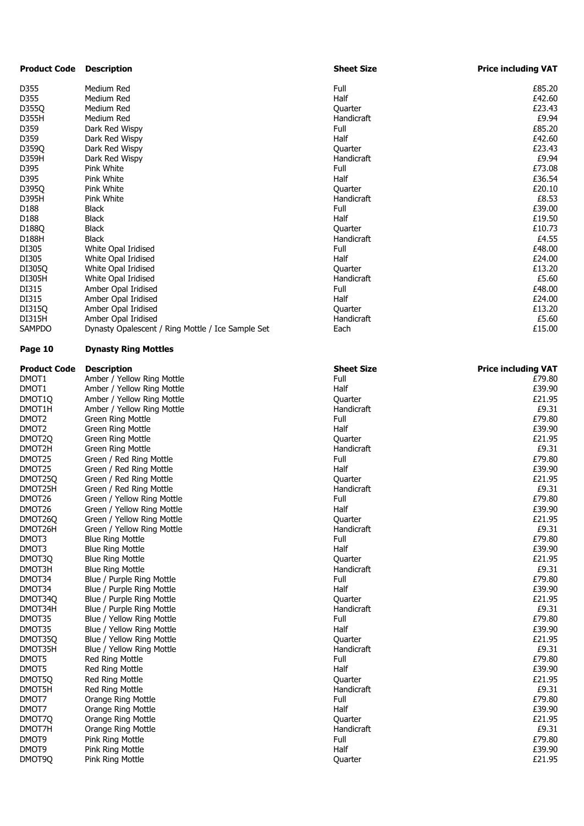| <b>Product Code</b> | <b>Description</b>                                | <b>Sheet Size</b> | <b>Price including VAT</b> |
|---------------------|---------------------------------------------------|-------------------|----------------------------|
| D355                | Medium Red                                        | Full              | £85.20                     |
| D355                | Medium Red                                        | Half              | £42.60                     |
| D355Q               | Medium Red                                        | Quarter           | £23.43                     |
| D355H               | Medium Red                                        | Handicraft        | £9.94                      |
| D359                | Dark Red Wispy                                    | Full              | £85.20                     |
|                     |                                                   |                   |                            |
| D359                | Dark Red Wispy                                    | Half              | £42.60                     |
| D359Q               | Dark Red Wispy                                    | Quarter           | £23.43                     |
| D359H               | Dark Red Wispy                                    | Handicraft        | £9.94                      |
| D395                | Pink White                                        | Full              | £73.08                     |
| D395                | Pink White                                        | Half              | £36.54                     |
| D3950               | Pink White                                        | Quarter           | £20.10                     |
| D395H               | Pink White                                        | Handicraft        | £8.53                      |
| D188                | <b>Black</b>                                      | Full              | £39.00                     |
| D188                | Black                                             | Half              | £19.50                     |
| D188Q               | Black                                             | Quarter           | £10.73                     |
| D188H               | Black                                             | Handicraft        | £4.55                      |
| DI305               | White Opal Iridised                               | Full              | £48.00                     |
| DI305               | White Opal Iridised                               | Half              | £24.00                     |
|                     | White Opal Iridised                               |                   | £13.20                     |
| DI305Q              |                                                   | Quarter           |                            |
| DI305H              | White Opal Iridised                               | Handicraft        | £5.60                      |
| DI315               | Amber Opal Iridised                               | Full              | £48.00                     |
| DI315               | Amber Opal Iridised                               | Half              | £24.00                     |
| DI315Q              | Amber Opal Iridised                               | Quarter           | £13.20                     |
| DI315H              | Amber Opal Iridised                               | Handicraft        | £5.60                      |
| SAMPDO              | Dynasty Opalescent / Ring Mottle / Ice Sample Set | Each              | £15.00                     |
| Page 10             | <b>Dynasty Ring Mottles</b>                       |                   |                            |
| Product Code        | <b>Description</b>                                | <b>Sheet Size</b> | <b>Price including VAT</b> |
| DMOT1               | Amber / Yellow Ring Mottle                        | Full              | £79.80                     |
| DMOT1               | Amber / Yellow Ring Mottle                        | Half              | £39.90                     |
| DMOT1Q              | Amber / Yellow Ring Mottle                        | Quarter           | £21.95                     |
| DMOT1H              | Amber / Yellow Ring Mottle                        | Handicraft        | £9.31                      |
| DMOT2               | Green Ring Mottle                                 | Full              | £79.80                     |
| DMOT2               |                                                   | Half              | £39.90                     |
|                     | Green Ring Mottle                                 |                   | £21.95                     |
| DMOT2Q              | Green Ring Mottle                                 | Quarter           |                            |
| DMOT2H              | <b>Green Ring Mottle</b>                          | Handicraft        | £9.31                      |
| DMOT25              | Green / Red Ring Mottle                           | Full              | £79.80                     |
| DMOT25              | Green / Red Ring Mottle                           | Half              | £39.90                     |
| DMOT25Q             | Green / Red Ring Mottle                           | Quarter           | £21.95                     |
| DMOT25H             | Green / Red Ring Mottle                           | Handicraft        | £9.31                      |
| DMOT26              | Green / Yellow Ring Mottle                        | Full              | £79.80                     |
| DMOT26              | Green / Yellow Ring Mottle                        | Half              | £39.90                     |
| DMOT26Q             | Green / Yellow Ring Mottle                        | Quarter           | £21.95                     |
| DMOT26H             | Green / Yellow Ring Mottle                        | Handicraft        | £9.31                      |
| DMOT3               | <b>Blue Ring Mottle</b>                           | Full              | £79.80                     |
| DMOT3               | <b>Blue Ring Mottle</b>                           | Half              | £39.90                     |
| DMOT3Q              | <b>Blue Ring Mottle</b>                           | Quarter           | £21.95                     |
| DMOT3H              | <b>Blue Ring Mottle</b>                           | Handicraft        | £9.31                      |
| DMOT34              | Blue / Purple Ring Mottle                         | Full              | £79.80                     |
| DMOT34              |                                                   | Half              | £39.90                     |
|                     | Blue / Purple Ring Mottle                         |                   |                            |
| DMOT34Q             | Blue / Purple Ring Mottle                         | Quarter           | £21.95                     |
| DMOT34H             | Blue / Purple Ring Mottle                         | Handicraft        | £9.31                      |
| DMOT35              | Blue / Yellow Ring Mottle                         | Full              | £79.80                     |
| DMOT35              | Blue / Yellow Ring Mottle                         | Half              | £39.90                     |
| DMOT35Q             | Blue / Yellow Ring Mottle                         | Quarter           | £21.95                     |
| DMOT35H             | Blue / Yellow Ring Mottle                         | Handicraft        | £9.31                      |
| DMOT5               | Red Ring Mottle                                   | Full              | £79.80                     |
| DMOT5               | Red Ring Mottle                                   | Half              | £39.90                     |
| DMOT5Q              | Red Ring Mottle                                   | Quarter           | £21.95                     |
| DMOT5H              | <b>Red Ring Mottle</b>                            | Handicraft        | £9.31                      |
| DMOT7               | Orange Ring Mottle                                | Full              | £79.80                     |
| DMOT7               | Orange Ring Mottle                                | Half              | £39.90                     |
| DMOT7Q              | Orange Ring Mottle                                | Quarter           | £21.95                     |
|                     |                                                   |                   |                            |
| DMOT7H              | Orange Ring Mottle                                | Handicraft        | £9.31                      |
| DMOT9               | Pink Ring Mottle                                  | Full              | £79.80                     |
| DMOT9               | Pink Ring Mottle                                  | Half              | £39.90                     |
| DMOT9Q              | Pink Ring Mottle                                  | Quarter           | £21.95                     |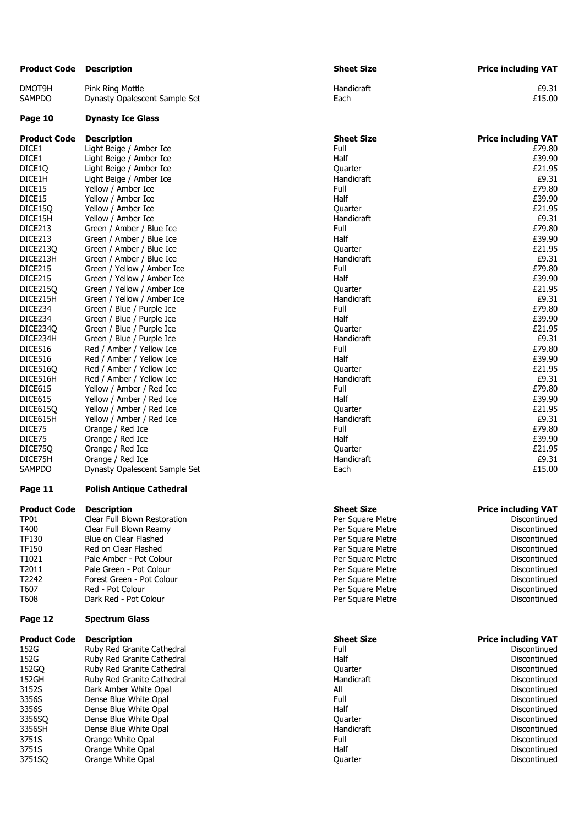| Product Code        | <b>Description</b>              | <b>Sheet Size</b> | <b>Price including VAT</b> |
|---------------------|---------------------------------|-------------------|----------------------------|
| DMOT9H              | Pink Ring Mottle                | Handicraft        | £9.31                      |
| SAMPDO              | Dynasty Opalescent Sample Set   | Each              | £15.00                     |
| Page 10             | <b>Dynasty Ice Glass</b>        |                   |                            |
| <b>Product Code</b> | <b>Description</b>              | <b>Sheet Size</b> | <b>Price including VAT</b> |
| DICE1               | Light Beige / Amber Ice         | Full              | £79.80                     |
| DICE1               | Light Beige / Amber Ice         | Half              | £39.90                     |
| DICE1Q              | Light Beige / Amber Ice         | Quarter           | £21.95                     |
| DICE1H              | Light Beige / Amber Ice         | Handicraft        | £9.31                      |
| DICE15              | Yellow / Amber Ice              | Full              | £79.80                     |
| DICE15              | Yellow / Amber Ice              | Half              | £39.90                     |
| DICE15Q             | Yellow / Amber Ice              | Quarter           | £21.95                     |
| DICE15H             | Yellow / Amber Ice              | Handicraft        | £9.31                      |
| DICE213             | Green / Amber / Blue Ice        | Full              | £79.80                     |
| DICE213             | Green / Amber / Blue Ice        | Half              | £39.90                     |
| DICE213Q            | Green / Amber / Blue Ice        | Quarter           | £21.95                     |
| DICE213H            | Green / Amber / Blue Ice        | Handicraft        | £9.31                      |
| DICE215             | Green / Yellow / Amber Ice      | Full              | £79.80                     |
| DICE215             | Green / Yellow / Amber Ice      | Half              | £39.90                     |
| DICE215Q            | Green / Yellow / Amber Ice      | Quarter           | £21.95                     |
| DICE215H            | Green / Yellow / Amber Ice      | Handicraft        | £9.31                      |
| DICE234             | Green / Blue / Purple Ice       | Full              | £79.80                     |
| DICE234             | Green / Blue / Purple Ice       | Half              | £39.90                     |
| DICE234Q            | Green / Blue / Purple Ice       | Quarter           | £21.95                     |
| DICE234H            | Green / Blue / Purple Ice       | Handicraft        | £9.31                      |
| DICE516             | Red / Amber / Yellow Ice        | Full              | £79.80                     |
| DICE516             | Red / Amber / Yellow Ice        | Half              | £39.90                     |
| DICE5160            | Red / Amber / Yellow Ice        | Quarter           | £21.95                     |
| DICE516H            | Red / Amber / Yellow Ice        | Handicraft        | £9.31                      |
| DICE615             | Yellow / Amber / Red Ice        | Full              | £79.80                     |
| DICE615             | Yellow / Amber / Red Ice        | Half              | £39.90                     |
| DICE615Q            | Yellow / Amber / Red Ice        | Quarter           | £21.95                     |
| DICE615H            | Yellow / Amber / Red Ice        | Handicraft        | £9.31                      |
| DICE75              | Orange / Red Ice                | Full              | £79.80                     |
| DICE75              | Orange / Red Ice                | Half              | £39.90                     |
| DICE75Q             | Orange / Red Ice                | Quarter           | £21.95                     |
| DICE75H             | Orange / Red Ice                | Handicraft        | £9.31                      |
| SAMPDO              | Dynasty Opalescent Sample Set   | Each              | £15.00                     |
| Page 11             | <b>Polish Antique Cathedral</b> |                   |                            |
| <b>Product Code</b> | <b>Description</b>              | <b>Sheet Size</b> | <b>Price including VAT</b> |
| TP01                | Clear Full Blown Restoration    | Per Square Metre  | Discontinued               |
| T400                | Clear Full Blown Reamy          | Per Square Metre  | Discontinued               |
| TF130               | Blue on Clear Flashed           | Per Square Metre  | Discontinued               |
| TF150               | Red on Clear Flashed            | Per Square Metre  | Discontinued               |
| T1021               | Pale Amber - Pot Colour         | Per Square Metre  | Discontinued               |
| T2011               | Pale Green - Pot Colour         | Per Square Metre  | Discontinued               |
| T2242               | Forest Green - Pot Colour       | Per Square Metre  | Discontinued               |
| T607                | Red - Pot Colour                | Per Square Metre  | Discontinued               |
| T608                | Dark Red - Pot Colour           | Per Square Metre  | Discontinued               |
| Page 12             | <b>Spectrum Glass</b>           |                   |                            |
| <b>Product Code</b> | <b>Description</b>              | <b>Sheet Size</b> | <b>Price including VAT</b> |
| 152G                | Ruby Red Granite Cathedral      | Full              | Discontinued               |
| 152G                | Ruby Red Granite Cathedral      | Half              | Discontinued               |
| 152GQ               | Ruby Red Granite Cathedral      | Quarter           | Discontinued               |
| 152GH               | Ruby Red Granite Cathedral      | Handicraft        | Discontinued               |
| 3152S               | Dark Amber White Opal           | All               | Discontinued               |
| 3356S               | Dense Blue White Opal           | Full              | Discontinued               |
| 3356S               | Dense Blue White Opal           | Half              | Discontinued               |
| 3356SQ              | Dense Blue White Opal           | Quarter           | Discontinued               |
| 3356SH              | Dense Blue White Opal           | Handicraft        | Discontinued               |
| 3751S               | Orange White Opal               | Full              | Discontinued               |
| 3751S               | Orange White Opal               | Half              | Discontinued               |
| 3751SQ              | Orange White Opal               | Quarter           | Discontinued               |
|                     |                                 |                   |                            |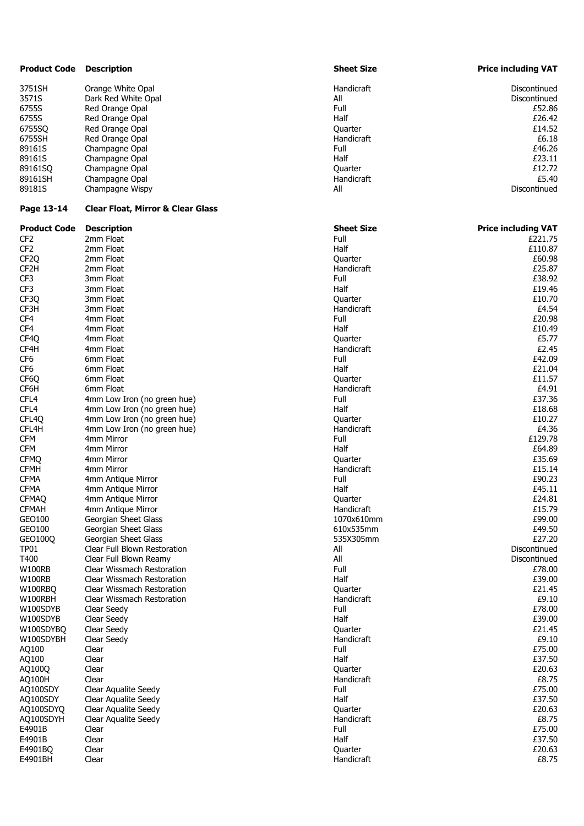| <b>Product Code</b> | <b>Description</b>                           | <b>Sheet Size</b> | <b>Price including VAT</b> |
|---------------------|----------------------------------------------|-------------------|----------------------------|
| 3751SH              | Orange White Opal                            | Handicraft        | Discontinued               |
| 3571S               | Dark Red White Opal                          | All               | Discontinued               |
| 6755S               | Red Orange Opal                              | Full              | £52.86                     |
| 6755S               | Red Orange Opal                              | Half              | £26.42                     |
|                     |                                              |                   |                            |
| 6755SQ              | Red Orange Opal                              | Quarter           | £14.52                     |
| 6755SH              | Red Orange Opal                              | Handicraft        | £6.18                      |
| 89161S              | Champagne Opal                               | Full              | £46.26                     |
| 89161S              | Champagne Opal                               | Half              | £23.11                     |
| 89161SQ             | Champagne Opal                               | Quarter           | £12.72                     |
| 89161SH             | Champagne Opal                               | Handicraft        | £5.40                      |
| 89181S              | Champagne Wispy                              | All               | Discontinued               |
| Page 13-14          | <b>Clear Float, Mirror &amp; Clear Glass</b> |                   |                            |
| <b>Product Code</b> | <b>Description</b>                           | <b>Sheet Size</b> | <b>Price including VAT</b> |
| CF <sub>2</sub>     | 2mm Float                                    | Full              | £221.75                    |
| CF <sub>2</sub>     | 2mm Float                                    | Half              | £110.87                    |
| CF <sub>2Q</sub>    | 2mm Float                                    | Quarter           | £60.98                     |
| CF <sub>2</sub> H   | 2mm Float                                    | Handicraft        | £25.87                     |
| CF3                 | 3mm Float                                    | Full              | £38.92                     |
| CF3                 | 3mm Float                                    | Half              | £19.46                     |
|                     |                                              |                   |                            |
| CF3Q                | 3mm Float                                    | Quarter           | £10.70                     |
| CF3H                | 3mm Float                                    | Handicraft        | £4.54                      |
| CF4                 | 4mm Float                                    | Full              | £20.98                     |
| CF4                 | 4mm Float                                    | Half              | £10.49                     |
| CF4Q                | 4mm Float                                    | Quarter           | £5.77                      |
| CF4H                | 4mm Float                                    | Handicraft        | £2.45                      |
| CF6                 | 6mm Float                                    | Full              | £42.09                     |
| CF6                 | 6mm Float                                    | Half              | £21.04                     |
| CF6Q                | 6mm Float                                    | Quarter           | £11.57                     |
| CF6H                | 6mm Float                                    | Handicraft        | £4.91                      |
|                     |                                              |                   |                            |
| CFL <sub>4</sub>    | 4mm Low Iron (no green hue)                  | Full              | £37.36                     |
| CFL <sub>4</sub>    | 4mm Low Iron (no green hue)                  | Half              | £18.68                     |
| CFL <sub>4Q</sub>   | 4mm Low Iron (no green hue)                  | Quarter           | £10.27                     |
| CFL4H               | 4mm Low Iron (no green hue)                  | Handicraft        | £4.36                      |
| <b>CFM</b>          | 4mm Mirror                                   | Full              | £129.78                    |
| <b>CFM</b>          | 4mm Mirror                                   | Half              | £64.89                     |
| <b>CFMQ</b>         | 4mm Mirror                                   | Quarter           | £35.69                     |
| <b>CFMH</b>         | 4mm Mirror                                   | Handicraft        | £15.14                     |
| <b>CFMA</b>         | 4mm Antique Mirror                           | Full              | £90.23                     |
| <b>CFMA</b>         | 4mm Antique Mirror                           | Half              | £45.11                     |
|                     |                                              |                   |                            |
| <b>CFMAO</b>        | 4mm Antique Mirror                           | Quarter           | £24.81                     |
| <b>CFMAH</b>        | 4mm Antique Mirror                           | Handicraft        | £15.79                     |
| GEO100              | Georgian Sheet Glass                         | 1070x610mm        | £99.00                     |
| GEO100              | Georgian Sheet Glass                         | 610x535mm         | £49.50                     |
| GEO100Q             | Georgian Sheet Glass                         | 535X305mm         | £27.20                     |
| <b>TP01</b>         | Clear Full Blown Restoration                 | All               | Discontinued               |
| T400                | Clear Full Blown Reamy                       | All               | Discontinued               |
| <b>W100RB</b>       | Clear Wissmach Restoration                   | Full              | £78.00                     |
| <b>W100RB</b>       | Clear Wissmach Restoration                   | Half              | £39.00                     |
|                     | Clear Wissmach Restoration                   |                   | £21.45                     |
| W100RBQ             |                                              | Quarter           |                            |
| W100RBH             | Clear Wissmach Restoration                   | Handicraft        | £9.10                      |
| W100SDYB            | Clear Seedy                                  | Full              | £78.00                     |
| W100SDYB            | Clear Seedy                                  | Half              | £39.00                     |
| W100SDYBQ           | Clear Seedy                                  | Quarter           | £21.45                     |
| W100SDYBH           | Clear Seedy                                  | Handicraft        | £9.10                      |
| AQ100               | Clear                                        | Full              | £75.00                     |
| AQ100               | Clear                                        | Half              | £37.50                     |
| AQ100Q              | Clear                                        | Quarter           | £20.63                     |
| AQ100H              | Clear                                        | Handicraft        | £8.75                      |
| AQ100SDY            |                                              | Full              | £75.00                     |
|                     | Clear Aqualite Seedy                         |                   |                            |
| AQ100SDY            | Clear Aqualite Seedy                         | Half              | £37.50                     |
| AQ100SDYQ           | Clear Aqualite Seedy                         | Quarter           | £20.63                     |
| AQ100SDYH           | Clear Aqualite Seedy                         | Handicraft        | £8.75                      |
| E4901B              | Clear                                        | Full              | £75.00                     |
| E4901B              | Clear                                        | Half              | £37.50                     |
| E4901BQ             | Clear                                        | Quarter           | £20.63                     |
| E4901BH             | Clear                                        | Handicraft        | £8.75                      |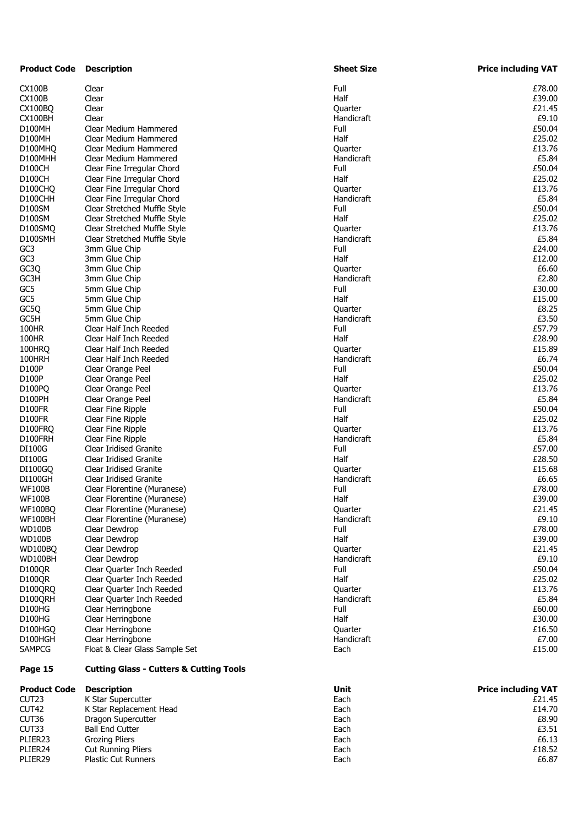| <b>Product Code</b> | Description                                        | <b>Sheet Size</b> | <b>Price including VAT</b> |
|---------------------|----------------------------------------------------|-------------------|----------------------------|
| CX100B              | Clear                                              | Full              | £78.00                     |
| CX100B              | Clear                                              | Half              | £39.00                     |
| CX100BQ             | Clear                                              | Quarter           | £21.45                     |
| CX100BH             | Clear                                              | Handicraft        | £9.10                      |
| D100MH              | Clear Medium Hammered                              | Full              | £50.04                     |
| D100MH              | Clear Medium Hammered                              | Half              | £25.02                     |
| D100MHQ             | Clear Medium Hammered                              | Quarter           | £13.76                     |
| D100MHH             | Clear Medium Hammered                              | Handicraft        | £5.84                      |
| D100CH              | Clear Fine Irregular Chord                         | Full              | £50.04                     |
| D100CH              | Clear Fine Irregular Chord                         | Half              | £25.02                     |
| D100CHQ             | Clear Fine Irregular Chord                         | Quarter           | £13.76                     |
| D100CHH             | Clear Fine Irregular Chord                         | Handicraft        | £5.84                      |
| D100SM              | Clear Stretched Muffle Style                       | Full              | £50.04                     |
| D100SM              | Clear Stretched Muffle Style                       | Half              | £25.02                     |
| D100SMQ             | Clear Stretched Muffle Style                       | Quarter           | £13.76                     |
| D100SMH             | Clear Stretched Muffle Style                       | Handicraft        | £5.84                      |
| GC3                 | 3mm Glue Chip                                      | Full              | £24.00                     |
| GC3                 | 3mm Glue Chip                                      | Half              | £12.00                     |
| GC3Q                | 3mm Glue Chip                                      | Quarter           | £6.60                      |
| GC3H                | 3mm Glue Chip                                      | Handicraft        | £2.80                      |
| GC5                 | 5mm Glue Chip                                      | Full              | £30.00                     |
| GC5                 | 5mm Glue Chip                                      | Half              | £15.00                     |
| GC5Q                | 5mm Glue Chip                                      | Quarter           | £8.25                      |
| GC5H                | 5mm Glue Chip                                      | Handicraft        | £3.50                      |
| 100HR               | Clear Half Inch Reeded                             | Full              | £57.79                     |
| 100HR               | Clear Half Inch Reeded                             | Half              | £28.90                     |
| 100HRO              | Clear Half Inch Reeded                             | Quarter           | £15.89                     |
| 100HRH              | Clear Half Inch Reeded                             | Handicraft        | £6.74                      |
| D100P               | Clear Orange Peel                                  | Full              | £50.04                     |
| D100P               | Clear Orange Peel                                  | Half              | £25.02                     |
| D100PQ              | Clear Orange Peel                                  | Quarter           | £13.76                     |
| D100PH              | Clear Orange Peel                                  | Handicraft        | £5.84                      |
| D100FR              | Clear Fine Ripple                                  | Full              | £50.04                     |
| D100FR              | Clear Fine Ripple                                  | Half              | £25.02                     |
| D100FRQ             | Clear Fine Ripple                                  | Quarter           | £13.76                     |
| D100FRH             | Clear Fine Ripple                                  | Handicraft        | £5.84                      |
| DI100G              | <b>Clear Iridised Granite</b>                      | Full              | £57.00                     |
| DI100G              | <b>Clear Iridised Granite</b>                      | Half              | £28.50                     |
| DI100GQ             | Clear Iridised Granite                             | Quarter           | £15.68                     |
| DI100GH             | <b>Clear Iridised Granite</b>                      | Handicraft        | £6.65                      |
| WF100B              | Clear Florentine (Muranese)                        | Full              | £78.00                     |
| WF100B              | Clear Florentine (Muranese)                        | Half              | £39.00                     |
| <b>WF100BO</b>      | Clear Florentine (Muranese)                        | Quarter           | £21.45                     |
| WF100BH             | Clear Florentine (Muranese)                        | Handicraft        | £9.10                      |
| WD100B              | Clear Dewdrop                                      | Full              | £78.00                     |
| WD100B              | Clear Dewdrop                                      | Half              | £39.00                     |
| WD100BQ             | Clear Dewdrop                                      | Quarter           | £21.45                     |
| WD100BH             | Clear Dewdrop                                      | Handicraft        | £9.10                      |
| D100QR              | Clear Quarter Inch Reeded                          | Full              | £50.04                     |
| D100QR              | Clear Quarter Inch Reeded                          | Half              | £25.02                     |
| D100QRQ             | Clear Quarter Inch Reeded                          | Quarter           | £13.76                     |
| D100QRH             | Clear Quarter Inch Reeded                          | Handicraft        | £5.84                      |
| D100HG              | Clear Herringbone                                  | Full              | £60.00                     |
| D100HG              | Clear Herringbone                                  | Half              | £30.00                     |
| D100HGQ             | Clear Herringbone                                  | Quarter           | £16.50                     |
| D100HGH             | Clear Herringbone                                  | Handicraft        | £7.00                      |
| SAMPCG              | Float & Clear Glass Sample Set                     | Each              | £15.00                     |
| Page 15             | <b>Cutting Glass - Cutters &amp; Cutting Tools</b> |                   |                            |
| Product Code        | <b>Description</b>                                 | Unit              | <b>Price including VAT</b> |
| CUT23               | K Star Supercutter                                 | Each              | £21.45                     |

| CUT <sub>23</sub>   | K Star Supercutter         | Each | £21.45 |
|---------------------|----------------------------|------|--------|
| CUT42               | K Star Replacement Head    | Each | £14.70 |
| CUT36               | Dragon Supercutter         | Each | £8.90  |
| CUT33               | <b>Ball End Cutter</b>     | Each | £3.51  |
| PLIER <sub>23</sub> | Grozing Pliers             | Each | £6.13  |
| PLIER <sub>24</sub> | <b>Cut Running Pliers</b>  | Each | £18.52 |
| PLIER29             | <b>Plastic Cut Runners</b> | Each | £6.87  |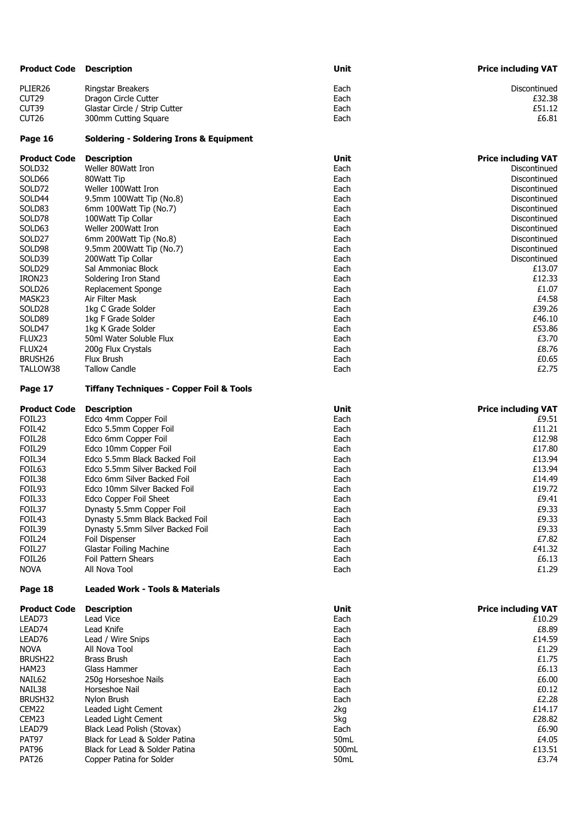| <b>Product Code</b>   | <b>Description</b>                                               | Unit          | <b>Price including VAT</b>          |
|-----------------------|------------------------------------------------------------------|---------------|-------------------------------------|
| PLIER26               | Ringstar Breakers                                                | Each          | Discontinued                        |
| CUT29                 | Dragon Circle Cutter                                             | Each          | £32.38                              |
| CUT39                 | Glastar Circle / Strip Cutter                                    | Each          | £51.12                              |
| CUT <sub>26</sub>     | 300mm Cutting Square                                             | Each          | £6.81                               |
| Page 16               | <b>Soldering - Soldering Irons &amp; Equipment</b>               |               |                                     |
|                       |                                                                  |               |                                     |
| <b>Product Code</b>   | <b>Description</b>                                               | Unit          | <b>Price including VAT</b>          |
| SOLD32                | Weller 80Watt Iron                                               | Each          | Discontinued                        |
| SOLD66                | 80Watt Tip                                                       | Each          | Discontinued                        |
| SOLD72                | Weller 100Watt Iron                                              | Each          | Discontinued                        |
| SOLD44                | 9.5mm 100Watt Tip (No.8)                                         | Each          | Discontinued                        |
| SOLD83                | 6mm 100Watt Tip (No.7)                                           | Each          | Discontinued                        |
| SOLD78                | 100Watt Tip Collar                                               | Each          | Discontinued                        |
| SOLD63                | Weller 200Watt Iron                                              | Each          | Discontinued                        |
| SOLD27<br>SOLD98      | 6mm 200Watt Tip (No.8)                                           | Each          | Discontinued<br>Discontinued        |
|                       | 9.5mm 200Watt Tip (No.7)                                         | Each          | Discontinued                        |
| SOLD39<br>SOLD29      | 200Watt Tip Collar<br>Sal Ammoniac Block                         | Each<br>Each  | £13.07                              |
| IRON23                | Soldering Iron Stand                                             | Each          | £12.33                              |
| SOLD <sub>26</sub>    | <b>Replacement Sponge</b>                                        | Each          | £1.07                               |
| MASK23                | Air Filter Mask                                                  | Each          | £4.58                               |
| SOLD28                | 1kg C Grade Solder                                               | Each          | £39.26                              |
| SOLD89                | 1kg F Grade Solder                                               | Each          | £46.10                              |
| SOLD47                | 1kg K Grade Solder                                               | Each          | £53.86                              |
| FLUX23                | 50ml Water Soluble Flux                                          | Each          | £3.70                               |
| FLUX24                | 200g Flux Crystals                                               | Each          | £8.76                               |
| BRUSH26               | Flux Brush                                                       | Each          | £0.65                               |
| TALLOW38              | <b>Tallow Candle</b>                                             | Each          | £2.75                               |
| Page 17               | <b>Tiffany Techniques - Copper Foil &amp; Tools</b>              |               |                                     |
|                       |                                                                  |               |                                     |
| <b>Product Code</b>   | <b>Description</b>                                               | Unit          |                                     |
| FOIL <sub>23</sub>    | Edco 4mm Copper Foil                                             | Each          | <b>Price including VAT</b><br>£9.51 |
| FOIL42                | Edco 5.5mm Copper Foil                                           | Each          | £11.21                              |
| FOIL28                | Edco 6mm Copper Foil                                             | Each          | £12.98                              |
| FOIL29                | Edco 10mm Copper Foil                                            | Each          | £17.80                              |
| FOIL34                | Edco 5.5mm Black Backed Foil                                     | Each          | £13.94                              |
| FOIL63                | Edco 5.5mm Silver Backed Foil                                    | Each          | £13.94                              |
| FOIL38                | Edco 6mm Silver Backed Foil                                      | Each          | £14.49                              |
| FOIL93                | Edco 10mm Silver Backed Foil                                     | Each          | £19.72                              |
| FOIL33                | Edco Copper Foil Sheet                                           | Each          | £9.41                               |
| FOIL37                | Dynasty 5.5mm Copper Foil                                        | Each          | £9.33                               |
| FOIL43                | Dynasty 5.5mm Black Backed Foil                                  | Each          | £9.33                               |
| FOIL39                | Dynasty 5.5mm Silver Backed Foil                                 | Each          | £9.33                               |
| FOIL24                | Foil Dispenser                                                   | Each          | £7.82                               |
| FOIL27                | <b>Glastar Foiling Machine</b>                                   | Each          | £41.32                              |
| FOIL26<br><b>NOVA</b> | Foil Pattern Shears<br>All Nova Tool                             | Each<br>Each  | £6.13<br>£1.29                      |
| Page 18               | <b>Leaded Work - Tools &amp; Materials</b>                       |               |                                     |
| <b>Product Code</b>   | <b>Description</b>                                               | Unit          | <b>Price including VAT</b>          |
| LEAD73                | Lead Vice                                                        | Each          | £10.29                              |
| LEAD74                | Lead Knife                                                       | Each          | £8.89                               |
| LEAD76                | Lead / Wire Snips                                                | Each          | £14.59                              |
| <b>NOVA</b>           | All Nova Tool                                                    | Each          | £1.29                               |
| BRUSH <sub>22</sub>   | <b>Brass Brush</b>                                               | Each          | £1.75                               |
| HAM23                 | Glass Hammer                                                     | Each          | £6.13                               |
| NAIL62                | 250g Horseshoe Nails                                             | Each          | £6.00                               |
| NAIL38                | Horseshoe Nail                                                   | Each          | £0.12                               |
| BRUSH32               | Nylon Brush                                                      | Each          | £2.28                               |
| CEM22                 | Leaded Light Cement                                              | 2kg           | £14.17                              |
| CEM23                 | Leaded Light Cement                                              | 5kg           | £28.82                              |
| LEAD79                | Black Lead Polish (Stovax)                                       | Each          | £6.90                               |
| PAT97<br>PAT96        | Black for Lead & Solder Patina<br>Black for Lead & Solder Patina | 50mL<br>500mL | £4.05<br>£13.51                     |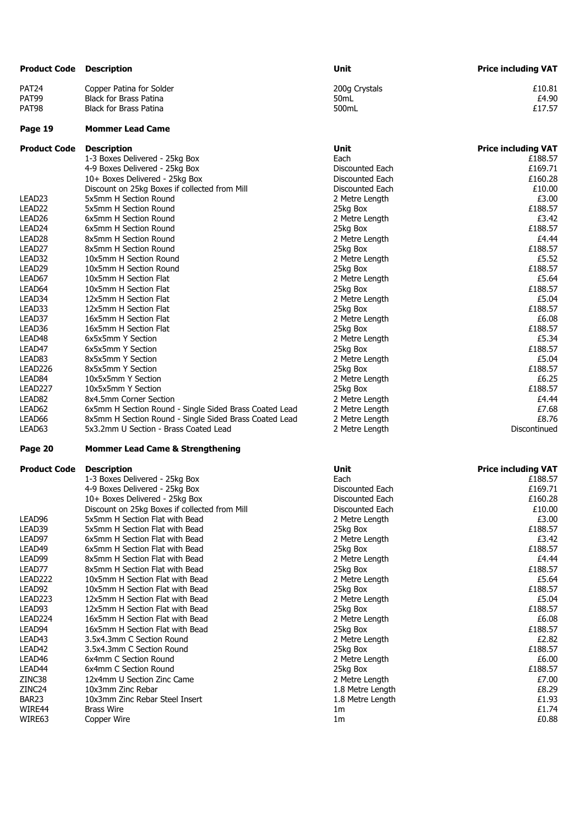| <b>Product Code</b> | <b>Description</b>                                     | Unit             | <b>Price including VAT</b> |
|---------------------|--------------------------------------------------------|------------------|----------------------------|
| PAT <sub>24</sub>   | Copper Patina for Solder                               | 200g Crystals    | £10.81                     |
| PAT99               | <b>Black for Brass Patina</b>                          | 50 <sub>mL</sub> | £4.90                      |
| PAT98               | <b>Black for Brass Patina</b>                          | 500mL            | £17.57                     |
| Page 19             | <b>Mommer Lead Came</b>                                |                  |                            |
| <b>Product Code</b> | <b>Description</b>                                     | Unit             | <b>Price including VAT</b> |
|                     | 1-3 Boxes Delivered - 25kg Box                         | Each             | £188.57                    |
|                     | 4-9 Boxes Delivered - 25kg Box                         | Discounted Each  | £169.71                    |
|                     | 10+ Boxes Delivered - 25kg Box                         | Discounted Each  | £160.28                    |
|                     | Discount on 25kg Boxes if collected from Mill          | Discounted Each  | £10.00                     |
| LEAD23              | 5x5mm H Section Round                                  | 2 Metre Length   | £3.00                      |
| LEAD <sub>22</sub>  | 5x5mm H Section Round                                  | 25kg Box         | £188.57                    |
| LEAD <sub>26</sub>  | 6x5mm H Section Round                                  | 2 Metre Length   | £3.42                      |
| LEAD <sub>24</sub>  | 6x5mm H Section Round                                  | 25kg Box         | £188.57                    |
| LEAD <sub>28</sub>  | 8x5mm H Section Round                                  | 2 Metre Length   | £4.44                      |
| LEAD <sub>27</sub>  | 8x5mm H Section Round                                  | 25kg Box         | £188.57                    |
| LEAD32              | 10x5mm H Section Round                                 | 2 Metre Length   | £5.52                      |
| LEAD29              | 10x5mm H Section Round                                 | 25kg Box         | £188.57                    |
| LEAD67              | 10x5mm H Section Flat                                  | 2 Metre Length   | £5.64                      |
| LEAD64              | 10x5mm H Section Flat                                  | 25kg Box         | £188.57                    |
| LEAD34              | 12x5mm H Section Flat                                  | 2 Metre Length   | £5.04                      |
| LEAD33              | 12x5mm H Section Flat                                  | 25kg Box         | £188.57                    |
| LEAD37              | 16x5mm H Section Flat                                  | 2 Metre Length   | £6.08                      |
| LEAD36              | 16x5mm H Section Flat                                  | 25kg Box         | £188.57                    |
| LEAD48              | 6x5x5mm Y Section                                      | 2 Metre Length   | £5.34                      |
| LEAD47              | 6x5x5mm Y Section                                      | 25kg Box         | £188.57                    |
| LEAD83              | 8x5x5mm Y Section                                      | 2 Metre Length   | £5.04                      |
| LEAD226             | 8x5x5mm Y Section                                      | 25kg Box         | £188.57                    |
| LEAD84              | 10x5x5mm Y Section                                     | 2 Metre Length   | £6.25                      |
| LEAD227             | 10x5x5mm Y Section                                     | 25kg Box         | £188.57                    |
| LEAD <sub>82</sub>  | 8x4.5mm Corner Section                                 | 2 Metre Length   | £4.44                      |
| LEAD62              | 6x5mm H Section Round - Single Sided Brass Coated Lead | 2 Metre Length   | £7.68                      |
| LEAD66              | 8x5mm H Section Round - Single Sided Brass Coated Lead | 2 Metre Length   | £8.76                      |
| LEAD63              | 5x3.2mm U Section - Brass Coated Lead                  | 2 Metre Length   | Discontinued               |
| Page 20             | <b>Mommer Lead Came &amp; Strengthening</b>            |                  |                            |
| <b>Product Code</b> | <b>Description</b>                                     | Unit             | <b>Price including VAT</b> |
|                     | 1-3 Boxes Delivered - 25kg Box                         | Each             | £188.57                    |
|                     | 4-9 Boxes Delivered - 25kg Box                         | Discounted Each  | £169.71                    |
|                     | 10+ Boxes Delivered - 25kg Box                         | Discounted Each  | £160.28                    |
|                     | Discount on 25kg Boxes if collected from Mill          | Discounted Each  | £10.00                     |
| LEAD96              | 5x5mm H Section Flat with Bead                         | 2 Metre Length   | £3.00                      |
| LEAD39              | 5x5mm H Section Flat with Bead                         | 25kg Box         | £188.57                    |
| LEAD97              | 6x5mm H Section Flat with Bead                         | 2 Metre Length   | £3.42                      |
| LEAD49              | 6x5mm H Section Flat with Bead                         | 25kg Box         | £188.57                    |
| LEAD99              | 8x5mm H Section Flat with Bead                         | 2 Metre Length   | £4.44                      |
| LEAD77              | 8x5mm H Section Flat with Bead                         | 25kg Box         | £188.57                    |
| LEAD222             | 10x5mm H Section Flat with Bead                        | 2 Metre Length   | £5.64                      |
| LEAD92              | 10x5mm H Section Flat with Bead                        | 25kg Box         | £188.57                    |
| LEAD223             | 12x5mm H Section Flat with Bead                        | 2 Metre Length   | £5.04                      |
| LEAD93              | 12x5mm H Section Flat with Bead                        | 25kg Box         | £188.57                    |
| LEAD224             | 16x5mm H Section Flat with Bead                        | 2 Metre Length   | £6.08                      |

LEAD224 16x5mm H Section Flat with Bead 2 Metre Length 2 Metre Length 2 Metre Length 2 Metre Length 2 Metre 2 Metre 2 Metre 2 Metre 2 Metre 2 Metre 2 Metre 2 Metre 2 Metre 2 Metre 2 Metre 2 Metre 2 Metre 2 Metre 2 Metre 2 LEAD94 16x5mm H Section Flat with Bead 25kg Box 25kg Box 25kg Box 25kg Box 25kg Box 25kg Box 2.82 2.82 LEAD43 3.5x4.3mm C Section Round 2 Metre Length £2.82 LEAD42 3.5x4.3mm C Section Round 25kg Box 25kg Box 25kg Box 25kg Box 25kg Box 25kg Box 25kg Box 25kg Box 25kg Box 25kg Box 25kg Box 25kg Box 25kg Box 25kg Box 25kg Box 25kg Box 25kg Box 25kg Box 25kg Box 25kg Box 25kg Box LEAD46 6x4mm C Section Round 1 1 1 2 Metre Length 1 2 Metre Length 1 2 Metre Length 1 2 Metre Length 1 2 Metre Length 1 2 Metre Length 1 2 Metre Length 1 2 Metre Length 1 3 Metre 2 Metre 2 Metre 2 Metre 2 Metre 2 Metre 2 M LEAD44 6x4mm C Section Round **198.57**<br>2006 2INC38 2INC38 2INC38 2INC38 2INC38 2INC38 2INC38 2INC38 2INC38 2INC38 2INC38 2INC38 2INC38 2INC38 2INC38 ZINC38 12x4mm U Section Zinc Came 2 Metre Length 2 Metre Length 2 Metre Length 2 Metre Length 2 Metre 2 metre 2 metre 2 metre 2 metre 2 metre 2 metre 2 metre 2 metre 2 metre 2 metre 2 metre 2 metre 2 metre 2 metre 2 metre

BAR23 10x3mm Zinc Rebar Steel Insert 1.8 Metre Length 1.8 Metre Length 1.93 1.8 Metre Length 1.93 1.74 WIRE44 Brass Wire  $\qquad \qquad$   $\qquad \qquad$  1m  $\qquad \qquad$   $\qquad \qquad$   $\qquad \qquad$   $\qquad \qquad$   $\qquad \qquad$   $\qquad$   $\qquad$   $\qquad$   $\qquad$   $\qquad$   $\qquad$   $\qquad$   $\qquad$   $\qquad$   $\qquad$   $\qquad$   $\qquad$   $\qquad$   $\qquad$   $\qquad$   $\qquad$   $\qquad$   $\qquad$   $\qquad$   $\qquad$   $\qquad$   $\qquad$   $\qquad$ WIRE63 Copper Wire 1m £0.88

10x3mm Zinc Rebar 1.8 Metre Length 2.89 Metre Length 10x3mm Zinc Rebar Steel Insert 2.89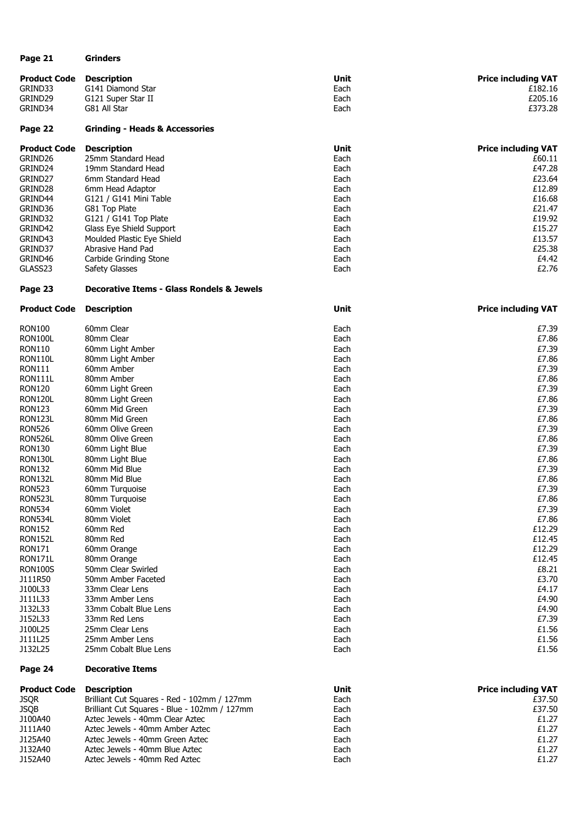| Page 21             | <b>Grinders</b>                           |      |                            |
|---------------------|-------------------------------------------|------|----------------------------|
| <b>Product Code</b> | <b>Description</b>                        | Unit | <b>Price including VAT</b> |
| GRIND33             | G141 Diamond Star                         | Each | £182.16                    |
| GRIND29             | G121 Super Star II                        | Each | £205.16                    |
| GRIND34             | G81 All Star                              | Each | £373.28                    |
| Page 22             | <b>Grinding - Heads &amp; Accessories</b> |      |                            |
| <b>Product Code</b> | <b>Description</b>                        | Unit | <b>Price including VAT</b> |
| GRIND26             | 25mm Standard Head                        | Each | £60.11                     |
|                     |                                           |      |                            |

| GRIND24 | 19mm Standard Head         | Each | £47.28 |
|---------|----------------------------|------|--------|
| GRIND27 | 6mm Standard Head          | Each | £23.64 |
| GRIND28 | 6mm Head Adaptor           | Each | £12.89 |
| GRIND44 | G121 / G141 Mini Table     | Each | £16.68 |
| GRIND36 | G81 Top Plate              | Each | £21.47 |
| GRIND32 | $G121 / G141$ Top Plate    | Each | £19.92 |
| GRIND42 | Glass Eye Shield Support   | Each | £15.27 |
| GRIND43 | Moulded Plastic Eye Shield | Each | £13.57 |
| GRIND37 | Abrasive Hand Pad          | Each | £25.38 |
| GRIND46 | Carbide Grinding Stone     | Each | £4.42  |
| GLASS23 | Safety Glasses             | Each | £2.76  |
|         |                            |      |        |

### **Page 23 Decorative Items - Glass Rondels & Jewels**

| <b>Product Code</b> | <b>Description</b>    | Unit | <b>Price including VAT</b> |
|---------------------|-----------------------|------|----------------------------|
| RON100              | 60mm Clear            | Each | £7.39                      |
| RON100L             | 80mm Clear            | Each | £7.86                      |
| RON110              | 60mm Light Amber      | Each | £7.39                      |
| RON110L             | 80mm Light Amber      | Each | £7.86                      |
| <b>RON111</b>       | 60mm Amber            | Each | £7.39                      |
| RON111L             | 80mm Amber            | Each | £7.86                      |
| RON120              | 60mm Light Green      | Each | £7.39                      |
| RON120L             | 80mm Light Green      | Each | £7.86                      |
| <b>RON123</b>       | 60mm Mid Green        | Each | £7.39                      |
| RON123L             | 80mm Mid Green        | Each | £7.86                      |
| <b>RON526</b>       | 60mm Olive Green      | Each | £7.39                      |
| RON526L             | 80mm Olive Green      | Each | £7.86                      |
| RON130              | 60mm Light Blue       | Each | £7.39                      |
| RON130L             | 80mm Light Blue       | Each | £7.86                      |
| <b>RON132</b>       | 60mm Mid Blue         | Each | £7.39                      |
| RON132L             | 80mm Mid Blue         | Each | £7.86                      |
| <b>RON523</b>       | 60mm Turquoise        | Each | £7.39                      |
| RON523L             | 80mm Turquoise        | Each | £7.86                      |
| <b>RON534</b>       | 60mm Violet           | Each | £7.39                      |
| RON534L             | 80mm Violet           | Each | £7.86                      |
| <b>RON152</b>       | 60mm Red              | Each | £12.29                     |
| <b>RON152L</b>      | 80mm Red              | Each | £12.45                     |
| <b>RON171</b>       | 60mm Orange           | Each | £12.29                     |
| RON171L             | 80mm Orange           | Each | £12.45                     |
| RON100S             | 50mm Clear Swirled    | Each | £8.21                      |
| J111R50             | 50mm Amber Faceted    | Each | £3.70                      |
| J100L33             | 33mm Clear Lens       | Each | £4.17                      |
| J111L33             | 33mm Amber Lens       | Each | £4.90                      |
| J132L33             | 33mm Cobalt Blue Lens | Each | £4.90                      |
| J152L33             | 33mm Red Lens         | Each | £7.39                      |
| J100L25             | 25mm Clear Lens       | Each | £1.56                      |
| J111L25             | 25mm Amber Lens       | Each | £1.56                      |
| J132L25             | 25mm Cobalt Blue Lens | Each | £1.56                      |
|                     |                       |      |                            |

#### **Page 24 Decorative Items**

| <b>Product Code</b> | <b>Description</b>                           | Unit | <b>Price including VAT</b> |
|---------------------|----------------------------------------------|------|----------------------------|
| <b>JSQR</b>         | Brilliant Cut Squares - Red - 102mm / 127mm  | Each | £37.50                     |
| <b>JSOB</b>         | Brilliant Cut Squares - Blue - 102mm / 127mm | Each | £37.50                     |
| J100A40             | Aztec Jewels - 40mm Clear Aztec              | Each | £1.27                      |
| J111A40             | Aztec Jewels - 40mm Amber Aztec              | Each | £1.27                      |
| J125A40             | Aztec Jewels - 40mm Green Aztec              | Each | £1.27                      |
| J132A40             | Aztec Jewels - 40mm Blue Aztec               | Each | £1.27                      |
| J152A40             | Aztec Jewels - 40mm Red Aztec                | Each | £1.27                      |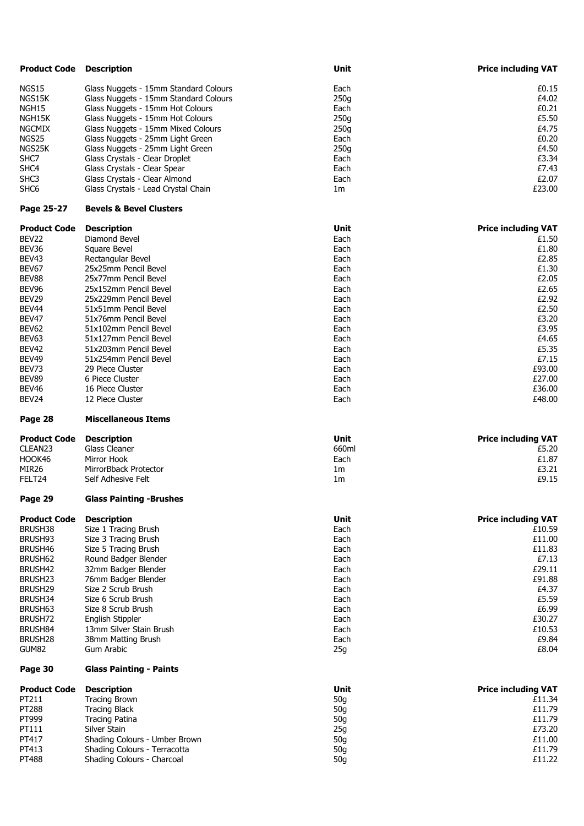| <b>Product Code Description</b> |                                       | Unit                   | <b>Price including VAT</b> |
|---------------------------------|---------------------------------------|------------------------|----------------------------|
| <b>NGS15</b>                    | Glass Nuggets - 15mm Standard Colours | Each                   | £0.15                      |
| NGS15K                          | Glass Nuggets - 15mm Standard Colours | 250g                   | £4.02                      |
|                                 |                                       |                        |                            |
| NGH15                           | Glass Nuggets - 15mm Hot Colours      | Each                   | £0.21                      |
| NGH15K                          | Glass Nuggets - 15mm Hot Colours      | 250g                   | £5.50                      |
| <b>NGCMIX</b>                   | Glass Nuggets - 15mm Mixed Colours    | 250g                   | £4.75                      |
| NGS25                           | Glass Nuggets - 25mm Light Green      | Each                   | £0.20                      |
| NGS25K                          | Glass Nuggets - 25mm Light Green      | 250g                   | £4.50                      |
| SHC7                            | Glass Crystals - Clear Droplet        | Each                   | £3.34                      |
| SHC4                            | Glass Crystals - Clear Spear          | Each                   | £7.43                      |
| SHC <sub>3</sub>                | Glass Crystals - Clear Almond         | Each                   | £2.07                      |
| SHC <sub>6</sub>                | Glass Crystals - Lead Crystal Chain   | 1 <sub>m</sub>         | £23.00                     |
| Page 25-27                      | <b>Bevels &amp; Bevel Clusters</b>    |                        |                            |
| <b>Product Code</b>             | <b>Description</b>                    | Unit                   | <b>Price including VAT</b> |
| BEV22                           | Diamond Bevel                         | Each                   | £1.50                      |
| BEV36                           | Square Bevel                          | Each                   | £1.80                      |
| BEV43                           | Rectangular Bevel                     | Each                   | £2.85                      |
| BEV67                           | 25x25mm Pencil Bevel                  | Each                   | £1.30                      |
| BEV88                           | 25x77mm Pencil Bevel                  | Each                   | £2.05                      |
| BEV96                           | 25x152mm Pencil Bevel                 | Each                   | £2.65                      |
| BEV29                           | 25x229mm Pencil Bevel                 | Each                   | £2.92                      |
| BEV <sub>44</sub>               | 51x51mm Pencil Bevel                  | Each                   | £2.50                      |
| BEV47                           | 51x76mm Pencil Bevel                  | Each                   | £3.20                      |
|                                 |                                       |                        |                            |
| BEV62                           | 51x102mm Pencil Bevel                 | Each                   | £3.95                      |
| BEV63                           | 51x127mm Pencil Bevel                 | Each                   | £4.65                      |
| <b>BEV42</b>                    | 51x203mm Pencil Bevel                 | Each                   | £5.35                      |
| BEV49                           | 51x254mm Pencil Bevel                 | Each                   | £7.15                      |
| BEV73                           | 29 Piece Cluster                      | Each                   | £93.00                     |
| BEV89                           | 6 Piece Cluster                       | Each                   | £27.00                     |
| BEV46                           | 16 Piece Cluster                      | Each                   | £36.00                     |
| BEV24                           | 12 Piece Cluster                      | Each                   | £48.00                     |
|                                 |                                       |                        |                            |
| Page 28                         | <b>Miscellaneous Items</b>            |                        |                            |
| <b>Product Code</b>             | <b>Description</b>                    | Unit                   | <b>Price including VAT</b> |
| CLEAN23                         | <b>Glass Cleaner</b>                  | 660ml                  | £5.20                      |
| HOOK46                          | Mirror Hook                           | Each                   | £1.87                      |
|                                 | MirrorBback Protector                 |                        |                            |
| MIR <sub>26</sub><br>FELT24     | Self Adhesive Felt                    | 1m<br>1 <sub>m</sub>   | £3.21<br>£9.15             |
| Page 29                         | <b>Glass Painting -Brushes</b>        |                        |                            |
| <b>Product Code</b>             | <b>Description</b>                    | Unit                   | <b>Price including VAT</b> |
| BRUSH38                         |                                       | Each                   | £10.59                     |
|                                 | Size 1 Tracing Brush                  |                        |                            |
| BRUSH93                         | Size 3 Tracing Brush                  | Each                   | £11.00                     |
| BRUSH46                         | Size 5 Tracing Brush                  | Each                   | £11.83                     |
| BRUSH62                         | Round Badger Blender                  | Each                   | £7.13                      |
| BRUSH42                         | 32mm Badger Blender                   | Each                   | £29.11                     |
| BRUSH <sub>23</sub>             | 76mm Badger Blender                   | Each                   | £91.88                     |
| BRUSH29                         | Size 2 Scrub Brush                    | Each                   | £4.37                      |
| BRUSH34                         | Size 6 Scrub Brush                    | Each                   | £5.59                      |
| BRUSH63                         | Size 8 Scrub Brush                    | Each                   | £6.99                      |
| BRUSH72                         | English Stippler                      | Each                   | £30.27                     |
| BRUSH84                         | 13mm Silver Stain Brush               | Each                   | £10.53                     |
| BRUSH <sub>28</sub>             | 38mm Matting Brush                    | Each                   | £9.84                      |
| GUM82                           | Gum Arabic                            | 25g                    | £8.04                      |
| Page 30                         | <b>Glass Painting - Paints</b>        |                        |                            |
| <b>Product Code</b>             | <b>Description</b>                    | Unit                   | <b>Price including VAT</b> |
| PT211                           | <b>Tracing Brown</b>                  | 50 <sub>g</sub>        | £11.34                     |
| PT288                           | <b>Tracing Black</b>                  | 50 <sub>g</sub>        | £11.79                     |
| PT999                           | <b>Tracing Patina</b>                 | 50 <sub>g</sub>        | £11.79                     |
|                                 | Silver Stain                          |                        | £73.20                     |
| PT111                           | Shading Colours - Umber Brown         | 25g                    |                            |
| PT417<br>PT413                  | Shading Colours - Terracotta          | 50 <sub>g</sub><br>50g | £11.00<br>£11.79           |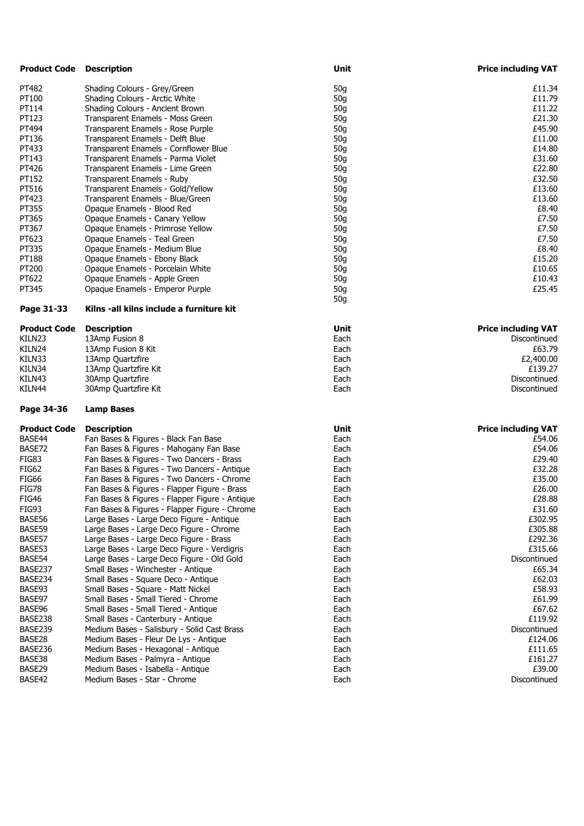| <b>Product Code</b> | <b>Description</b>                                                | Unit            | <b>Price including VAT</b> |
|---------------------|-------------------------------------------------------------------|-----------------|----------------------------|
| PT482               | Shading Colours - Grey/Green                                      | 50 <sub>g</sub> | £11.34                     |
| PT100               | Shading Colours - Arctic White                                    | 50 <sub>g</sub> | £11.79                     |
| PT114               | Shading Colours - Ancient Brown                                   | 50 <sub>g</sub> | £11.22                     |
| PT123               | Transparent Enamels - Moss Green                                  | 50 <sub>g</sub> | £21.30                     |
| PT494               | Transparent Enamels - Rose Purple                                 | 50 <sub>g</sub> | £45.90                     |
| PT136               | Transparent Enamels - Delft Blue                                  | 50 <sub>g</sub> | £11.00                     |
| PT433               | Transparent Enamels - Cornflower Blue                             | 50g             | £14.80                     |
| PT143               | Transparent Enamels - Parma Violet                                | 50 <sub>g</sub> | £31.60                     |
| PT426               | Transparent Enamels - Lime Green                                  | 50 <sub>g</sub> | £22.80                     |
| PT152               | Transparent Enamels - Ruby                                        | 50 <sub>g</sub> | £32.50                     |
| PT516               | Transparent Enamels - Gold/Yellow                                 | 50g             | £13.60                     |
| PT423               | Transparent Enamels - Blue/Green                                  | 50g             | £13.60                     |
| PT355               | Opaque Enamels - Blood Red                                        | 50 <sub>g</sub> | £8.40                      |
| PT365               | Opaque Enamels - Canary Yellow                                    | 50 <sub>g</sub> | £7.50                      |
| PT367               | Opaque Enamels - Primrose Yellow                                  | 50 <sub>g</sub> | £7.50                      |
| PT623               | Opaque Enamels - Teal Green                                       | 50 <sub>g</sub> | £7.50                      |
| PT335               | Opaque Enamels - Medium Blue                                      | 50 <sub>g</sub> | £8.40                      |
| PT188               | Opaque Enamels - Ebony Black                                      | 50 <sub>g</sub> | £15.20                     |
| PT200               | Opaque Enamels - Porcelain White                                  | 50 <sub>g</sub> | £10.65                     |
| PT622               | Opaque Enamels - Apple Green                                      | 50 <sub>g</sub> | £10.43                     |
| PT345               | Opaque Enamels - Emperor Purple                                   | 50 <sub>g</sub> | £25.45                     |
|                     |                                                                   | 50g             |                            |
| Page 31-33          | Kilns -all kilns include a furniture kit                          |                 |                            |
| <b>Product Code</b> | <b>Description</b>                                                | Unit            | <b>Price including VAT</b> |
| KILN23              | 13Amp Fusion 8                                                    | Each            | Discontinued               |
| KILN24              | 13Amp Fusion 8 Kit                                                | Each            | £63.79                     |
| KILN33              | 13Amp Quartzfire                                                  | Each            | £2,400.00                  |
| KILN34              | 13Amp Quartzfire Kit                                              | Each            | £139.27                    |
| KILN43              | 30Amp Quartzfire                                                  | Each            | Discontinued               |
| KILN44              | 30Amp Quartzfire Kit                                              | Each            | Discontinued               |
| Page 34-36          | <b>Lamp Bases</b>                                                 |                 |                            |
| <b>Product Code</b> | <b>Description</b>                                                | Unit            | <b>Price including VAT</b> |
| BASE44              | Fan Bases & Figures - Black Fan Base                              | Each            | £54.06                     |
| BASE72              | Fan Bases & Figures - Mahogany Fan Base                           | Each            | £54.06                     |
| FIG83               | Fan Bases & Figures - Two Dancers - Brass                         | Each            | £29.40                     |
| <b>FIG62</b>        | Fan Bases & Figures - Two Dancers - Antique                       | Each            | £32.28                     |
| <b>FIG66</b>        | Fan Bases & Figures - Two Dancers - Chrome                        | Each            | £35.00                     |
| <b>FIG78</b>        | Fan Bases & Figures - Flapper Figure - Brass                      | Each            | £26.00                     |
| <b>FIG46</b>        | Fan Bases & Figures - Flapper Figure - Antique                    | Each            | £28.88                     |
| FIG93               | Fan Bases & Figures - Flapper Figure - Chrome                     | Each            | £31.60                     |
| BASE56              | Large Bases - Large Deco Figure - Antique                         | Each            | £302.95                    |
| BASE59              | Large Bases - Large Deco Figure - Chrome                          | Each            | £305.88                    |
| BASE57              | Large Bases - Large Deco Figure - Brass                           | Each            | £292.36                    |
| BASE53              | Large Bases - Large Deco Figure - Verdigris                       | Each            | £315.66                    |
| BASE54              | Large Bases - Large Deco Figure - Old Gold                        | Each            | Discontinued               |
| BASE237             | Small Bases - Winchester - Antique                                | Each            | £65.34                     |
| BASE234             | Small Bases - Square Deco - Antique                               | Each            | £62.03                     |
| BASE93              | Small Bases - Square - Matt Nickel                                | Each            | £58.93                     |
| BASE97              | Small Bases - Small Tiered - Chrome                               | Each            | £61.99                     |
| BASE96              | Small Bases - Small Tiered - Antique                              | Each            | £67.62                     |
| BASE238             | Small Bases - Canterbury - Antique                                | Each            | £119.92                    |
| BASE239             | Medium Bases - Salisbury - Solid Cast Brass                       | Each            | Discontinued               |
| BASE28              | Medium Bases - Fleur De Lys - Antique                             | Each            | £124.06                    |
| BASE236             | Medium Bases - Hexagonal - Antique                                | Each            | £111.65                    |
| BASE38<br>BASE29    | Medium Bases - Palmyra - Antique                                  | Each<br>Each    | £161.27<br>£39.00          |
| BASE42              | Medium Bases - Isabella - Antique<br>Medium Bases - Star - Chrome | Each            | Discontinued               |
|                     |                                                                   |                 |                            |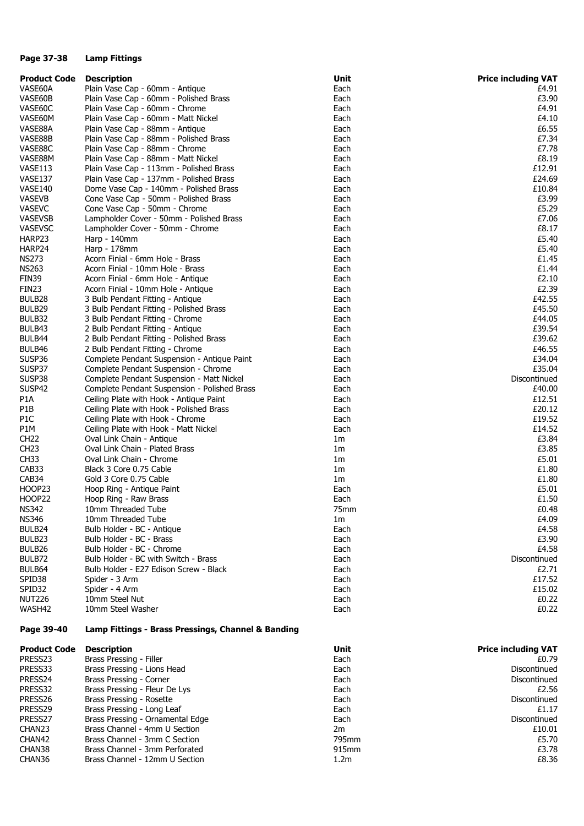#### **Page 37-38 Lamp Fittings**

| <b>Product Code</b> | <b>Description</b>                                 | Unit           | <b>Price including VAT</b> |
|---------------------|----------------------------------------------------|----------------|----------------------------|
| VASE60A             | Plain Vase Cap - 60mm - Antique                    | Each           | £4.91                      |
| VASE60B             | Plain Vase Cap - 60mm - Polished Brass             | Each           | £3.90                      |
| VASE60C             | Plain Vase Cap - 60mm - Chrome                     | Each           | £4.91                      |
| VASE60M             | Plain Vase Cap - 60mm - Matt Nickel                | Each           | £4.10                      |
| VASE88A             | Plain Vase Cap - 88mm - Antique                    | Each           | £6.55                      |
| VASE88B             | Plain Vase Cap - 88mm - Polished Brass             | Each           | £7.34                      |
| VASE88C             | Plain Vase Cap - 88mm - Chrome                     | Each           | £7.78                      |
| VASE88M             | Plain Vase Cap - 88mm - Matt Nickel                | Each           | £8.19                      |
| VASE113             | Plain Vase Cap - 113mm - Polished Brass            | Each           | £12.91                     |
| VASE137             | Plain Vase Cap - 137mm - Polished Brass            | Each           | £24.69                     |
| VASE140             | Dome Vase Cap - 140mm - Polished Brass             | Each           | £10.84                     |
| VASEVB              | Cone Vase Cap - 50mm - Polished Brass              | Each           | £3.99                      |
| <b>VASEVC</b>       | Cone Vase Cap - 50mm - Chrome                      | Each           | £5.29                      |
| <b>VASEVSB</b>      | Lampholder Cover - 50mm - Polished Brass           | Each           | £7.06                      |
| <b>VASEVSC</b>      | Lampholder Cover - 50mm - Chrome                   | Each           | £8.17                      |
| HARP23              |                                                    | Each           | £5.40                      |
|                     | Harp - 140mm                                       |                | £5.40                      |
| HARP24              | Harp - 178mm                                       | Each           |                            |
| <b>NS273</b>        | Acorn Finial - 6mm Hole - Brass                    | Each           | £1.45                      |
| <b>NS263</b>        | Acorn Finial - 10mm Hole - Brass                   | Each           | £1.44                      |
| FIN39               | Acorn Finial - 6mm Hole - Antique                  | Each           | £2.10                      |
| FIN <sub>23</sub>   | Acorn Finial - 10mm Hole - Antique                 | Each           | £2.39                      |
| BULB28              | 3 Bulb Pendant Fitting - Antique                   | Each           | £42.55                     |
| BULB29              | 3 Bulb Pendant Fitting - Polished Brass            | Each           | £45.50                     |
| BULB32              | 3 Bulb Pendant Fitting - Chrome                    | Each           | £44.05                     |
| BULB43              | 2 Bulb Pendant Fitting - Antique                   | Each           | £39.54                     |
| BULB44              | 2 Bulb Pendant Fitting - Polished Brass            | Each           | £39.62                     |
| BULB46              | 2 Bulb Pendant Fitting - Chrome                    | Each           | £46.55                     |
| SUSP36              | Complete Pendant Suspension - Antique Paint        | Each           | £34.04                     |
| SUSP37              | Complete Pendant Suspension - Chrome               | Each           | £35.04                     |
| SUSP38              | Complete Pendant Suspension - Matt Nickel          | Each           | Discontinued               |
| SUSP42              | Complete Pendant Suspension - Polished Brass       | Each           | £40.00                     |
| P <sub>1</sub> A    | Ceiling Plate with Hook - Antique Paint            | Each           | £12.51                     |
| P1B                 | Ceiling Plate with Hook - Polished Brass           | Each           | £20.12                     |
| P1C                 | Ceiling Plate with Hook - Chrome                   | Each           | £19.52                     |
| P1M                 | Ceiling Plate with Hook - Matt Nickel              | Each           | £14.52                     |
| <b>CH22</b>         | Oval Link Chain - Antique                          | 1m             | £3.84                      |
| CH <sub>23</sub>    | Oval Link Chain - Plated Brass                     | 1 <sub>m</sub> | £3.85                      |
| CH <sub>33</sub>    | Oval Link Chain - Chrome                           | 1m             | £5.01                      |
| CAB33               | Black 3 Core 0.75 Cable                            | 1 <sub>m</sub> | £1.80                      |
| CAB34               | Gold 3 Core 0.75 Cable                             | 1 <sub>m</sub> | £1.80                      |
| HOOP23              | Hoop Ring - Antique Paint                          | Each           | £5.01                      |
| <b>HOOP22</b>       | Hoop Ring - Raw Brass                              | Each           | £1.50                      |
| <b>NS342</b>        | 10mm Threaded Tube                                 | 75mm           | £0.48                      |
| <b>NS346</b>        | 10mm Threaded Tube                                 | 1 <sub>m</sub> | £4.09                      |
| BULB24              | Bulb Holder - BC - Antique                         | Each           | £4.58                      |
|                     | Bulb Holder - BC - Brass                           |                |                            |
| BULB23              | Bulb Holder - BC - Chrome                          | Each           | £3.90                      |
| BULB26              |                                                    | Each           | £4.58                      |
| BULB72              | Bulb Holder - BC with Switch - Brass               | Each           | Discontinued               |
| BULB64              | Bulb Holder - E27 Edison Screw - Black             | Each           | £2.71                      |
| SPID38              | Spider - 3 Arm                                     | Each           | £17.52                     |
| SPID32              | Spider - 4 Arm                                     | Each           | £15.02                     |
| <b>NUT226</b>       | 10mm Steel Nut                                     | Each           | £0.22                      |
| WASH42              | 10mm Steel Washer                                  | Each           | £0.22                      |
| Page 39-40          | Lamp Fittings - Brass Pressings, Channel & Banding |                |                            |
| <b>Product Code</b> | <b>Description</b>                                 | Unit           | <b>Price including VAT</b> |
| PRESS23             | Brass Pressing - Filler                            | Each           | £0.79                      |
| PRESS33             | Brass Pressing - Lions Head                        | Each           | Discontinued               |
| PRESS24             | Brass Pressing - Corner                            | Each           | Discontinued               |
| PRESS32             | Brass Pressing - Fleur De Lys                      | Each           | £2.56                      |
| PRESS26             | Brass Pressing - Rosette                           | Each           | Discontinued               |
| PRESS29             | Brass Pressing - Long Leaf                         | Each           | £1.17                      |
| PRESS27             | Brass Pressing - Ornamental Edge                   | Each           | Discontinued               |
| CHAN23              | Brass Channel - 4mm U Section                      | 2m             | £10.01                     |
| CHAN42              | Brass Channel - 3mm C Section                      | 795mm          | £5.70                      |

CHAN38 Brass Channel - 3mm Perforated 61 CHAN38 Brass Channel - 3mm  $E$ 3.78 CHAN36 Brass Channel - 12mm U Section 1.2m **1.2m** 1.2m **E8.36**